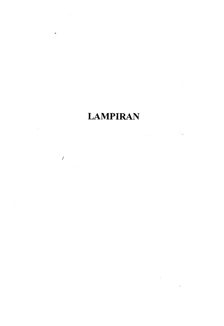# **LAMPIRAN**

 $\ddot{\phantom{0}}$ 

 $\bar{\beta}$ 

 $\hat{\mathbf{a}}$ 

 $\mathcal{L}$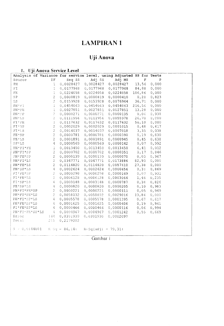## **LAMPIRAN1**

## Uji Anova

### 1. Uji Anova Service Level

| Analysis of Variance for service level, using Adjusted SS for Tests |                          |                 |                       |           |             |       |  |
|---------------------------------------------------------------------|--------------------------|-----------------|-----------------------|-----------|-------------|-------|--|
| Source                                                              | DF                       | Seq SS          | Adj SS                | Adj MS    | $\mathbf F$ | P     |  |
| PH                                                                  | 1                        | 0,0028427       | 0,0028427             | 0,0028427 | 13,56       | 0,000 |  |
| FI                                                                  | $\mathbf{1}$             | 0,0177968       | 0,0177968             | 0,0177968 | 84,88       | 0,000 |  |
| FE                                                                  | $\mathbf{1}$             | 0,0224058       | 0,0224058             | 0,0224058 | 106,86      | 0,000 |  |
| SP                                                                  | $\overline{c}$           | 0,0000819       | 0,0000819             | 0,0000410 | 0, 20       | 0,823 |  |
| LS                                                                  | $\bar{z}$                | 0,0153928       | 0,0153928             | 0,0076964 | 36,71       | 0,000 |  |
| $PH+FT$                                                             | $\perp$                  | 0,0454063       | 0,0454063             | 0,0454063 | 216,56      | 0,000 |  |
| $PH*FE$                                                             | $\mathbf 1$              | 0,0027851       | 0,0027851             | 0,0027851 | 13,28       | 0,000 |  |
| $PH * S P$                                                          | $\overline{2}$           | 0,0000271       | 0,0000271             | 0,0000135 | 0,06        | 0,938 |  |
| PH * LS                                                             | $\bar{2}$                | 0,0111956       | 0,0111956             | 0,0055978 | 26,70       | 0,000 |  |
| $\mathrm{FT} \star \mathrm{FE}$                                     | $\mathbf{1}$             | 0,0117632       | 0,0117632             | 0,0117632 | 56, 10      | 0,000 |  |
| $PI * SP$                                                           | $\overline{c}$           | 0,0002029       | 0,0002029             | 0,0001015 | 0,48        | 0,617 |  |
| $FT*LS$                                                             | $\overline{c}$           | 0,0014037       | 0,0014037             | 0,0007018 | 3, 35       | 0,038 |  |
| $FE * SP$                                                           | $\bar{z}$                | 0,0000781       | 0,0000781             | 0,0000390 | 0,19        | 0,830 |  |
| $FE*LS$                                                             | $\overline{c}$           | 0,0001891       | 0,0001891             | 0,0000945 | 0,45        | 0,638 |  |
| $SP*LS$                                                             | 4                        | 0,0000569       | 0,0000569             | 0,0000142 | 0,07        | 0,992 |  |
| $PH*FI*FE$                                                          | $\perp$                  | 0,0013450       | 0,0013450             | 0,0013450 | 6,41        | 0,012 |  |
| $PH*FI*SP$                                                          | $\sqrt{2}$               | 0,0000702       | 0,0000702             | 0,0000351 | 0,17        | 0,846 |  |
| PH*FE*SP                                                            | $\sqrt{2}$               | 0,0000139       | 0,0000139             | 0,0000070 | 0,03        | 0,967 |  |
| PH*FI*LS                                                            | $\sqrt{2}$               | 0,0347771       | 0,0347771             | 0,0173886 | 82,93       | 0,000 |  |
| $PH*FE*LS$                                                          | $\overline{\mathcal{L}}$ | 0,0114820       | 0,0114820             | 0,0057410 | 27,38       | 0,000 |  |
| PH*SP*LS                                                            | $\mathcal{L}_{\!1}$      | 0,0002624       | 0,0002624             | 0,0000656 | 0, 31       | 0,869 |  |
| FI'FE*SP                                                            | $\bar{z}$                | 0,0000298       | 0,0000298             | 0,0000149 | 0,07        | 0,931 |  |
| $FI*FE*LS$                                                          | $\overline{2}$           | 0,0006128       | 0,0006128             | 0,0003064 | 1,46        | 0,235 |  |
| $FI*SP*LS$                                                          | 4                        | 0,0003148       | 0,0003148             | 0,0000787 | 0, 38       | 0,826 |  |
| FE*SP*LS                                                            | $\overline{4}$           | 0,0000820       | 0,0000820             | 0,0000205 | 0, 10       | 0,983 |  |
| $\texttt{PH*FI*FEx*SP}$                                             | $\bar{z}$                | 0,0000221       | 0,0000221             | 0,0000111 | 0,05        | 0,949 |  |
| $\text{PH*FI*FE*LS}$                                                | $\bar{2}$                | 0,0058032       | 0,0058032             | 0,0029016 | 13,84       | 0,000 |  |
| PH*FI*SP*LS                                                         | $\overline{4}$           | 0,0005578       | 0,0005578             | 0,0001395 | 0,67        | 0,617 |  |
| PH*FE*SP*LS                                                         | 4                        | 0,0001625       | 0,0001625             | 0,0000406 | 0,19        | 0,941 |  |
| $FI*FE*SP*LS$                                                       | $\bf{q}$                 | 0,0000466       | 0,0000466             | 0,0000116 | 0,06        | 0,994 |  |
| PH*FI*FE*SP*LS                                                      | 4                        | 0,0004967       | 0,0004967             | 0,0001242 | 0,55        | 0,669 |  |
| Error                                                               | 144                      | 0,0301930       | 0,0301930             | 0,0002097 |             |       |  |
| Total                                                               | 215                      | 0,2179002       |                       |           |             |       |  |
| $S = 0,0144801$                                                     |                          | $R-Sq = 86,14%$ | $R-Sq (adj) = 79,318$ |           |             |       |  |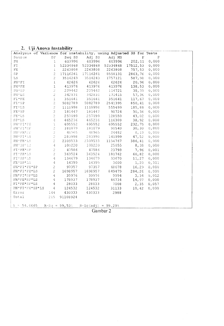### 2. Uji Anova Instability

| Analysis of Variance for instability, using Adjusted SS for Tests                                         |                                                              |                  |                                      |                    |                   |               |  |
|-----------------------------------------------------------------------------------------------------------|--------------------------------------------------------------|------------------|--------------------------------------|--------------------|-------------------|---------------|--|
| Source<br>$\rm{DF}$<br>9 Seq SS adj SS adj MS<br>603996 603996 603996 202<br>$\mathbf{F}$<br>$\mathbb{P}$ |                                                              |                  |                                      |                    |                   |               |  |
| PH                                                                                                        | $\mathbf{1}$                                                 |                  |                                      |                    | 202, 11           | 0,000         |  |
| FI                                                                                                        | $\mathbf{1}$                                                 | 52334868         |                                      | 52334868 52334868  | 17512,53 0,000    |               |  |
| FE.                                                                                                       |                                                              |                  | 1 2263808 2263808 2263808            |                    | 757,53 0,000      |               |  |
| SP.                                                                                                       |                                                              |                  | 2 17116261 17116261 8558131          |                    | 2863,76 0,000     |               |  |
| LS                                                                                                        |                                                              | 2 3514243        |                                      | 3514243 1757121    | 587,98 0,000      |               |  |
| $PH*FT$                                                                                                   |                                                              |                  | 1 62626 62626                        |                    | 62626 20,96 0,000 |               |  |
| $PH*FE$                                                                                                   |                                                              |                  | 1 413976 413976 413976 138,53 0,000  |                    |                   |               |  |
| $PH*SP$                                                                                                   |                                                              |                  | $2$ 229442 229442 114721 38,39 0,000 |                    |                   |               |  |
| PH'LS                                                                                                     | 2 <sup>1</sup>                                               |                  | 342831 342831                        | 171415 57,36 0,000 |                   |               |  |
| $\texttt{FI} \star \texttt{FE}$                                                                           | $\,$ $\,$ $\,$                                               | 351641           | 351641                               | 351641             | 117,67            | 0,000         |  |
| $FI$ *SP                                                                                                  | $2^{\circ}$                                                  | 5082789          | 5082789                              | 2541395            | 850, 41 0,000     |               |  |
| $F1 * LS$                                                                                                 | $\overline{c}$                                               | 1110998          |                                      | 1110998 555499     | 185,88 0,000      |               |  |
| $FE*SP$                                                                                                   | $\sqrt{2}$                                                   | 181447           | 181447                               | 90724              | $30, 36$ 0,000    |               |  |
| $FE*LS$                                                                                                   | $2\,$                                                        | 257099<br>465236 | 257099                               | 128550             | $43,02$ 0,000     |               |  |
| $SP*LS$                                                                                                   | $\vert 4 \vert$                                              |                  | 465236                               | 116309             |                   | $38,92$ 0,000 |  |
| PH*FI*PE                                                                                                  | $\mathbf{I}$                                                 | 695552           | 695552                               | 695552             | 232,75 0,000      |               |  |
| PH*FI*SP                                                                                                  | $\mathfrak{L}% _{A}^{\alpha\beta}(\mathfrak{D}_{A}^{\beta})$ |                  | 181079 181079 90540 30,30 0,000      |                    |                   |               |  |
| PHAFEMOP                                                                                                  | $\overline{2}$                                               |                  | 48965 48965 24482                    |                    | $8,19$ 0,000      |               |  |
| PH*FI*LS                                                                                                  | $\mathbb{Z}$                                                 |                  | 283998 283998 141999 47,52           |                    |                   | 0,000         |  |
| PH*FE*LS                                                                                                  | $\bar{z}$                                                    |                  | 2309533 2309533 1154767              |                    | 386, 41 0,000     |               |  |
| PHASPALS                                                                                                  |                                                              |                  | $4 \t100220 \t100220$                | 25055              |                   | $8,38$ 0,000  |  |
| FI*FE*SP                                                                                                  | $\overline{2}$                                               |                  | 47586 47586                          | 23793              |                   | 7,96 0,001    |  |
| FI*FE*LS                                                                                                  | $\mathbf{2}^{\circ}$                                         | 363524           | 363524                               | 181762             | 60,82             | 0,000         |  |
| $FT*SP*LS$                                                                                                | $-4$                                                         |                  | 134679 134679 33670                  |                    | 11,27             | 0,000         |  |
| FE*SP*LS                                                                                                  | $\overline{4}$                                               |                  | 14399 14399 3600                     |                    | 1,20              | 0,311         |  |
| $PH*FI*FE*SP$                                                                                             | 2 <sup>7</sup>                                               | 97357            | 97357                                |                    | 48678 16,29 0,000 |               |  |
| PH*FI*FE*LS                                                                                               |                                                              |                  | 2 1698957 1698957                    | 849479             | 284,26            | 0,000         |  |
| PH*FI*SP*LS                                                                                               | $\sim$ 4                                                     | 39976            | 39976                                | 9994 — 1990        |                   | $3,34$ 0,012  |  |
| PH*FE*SP*LS                                                                                               | $\mathbf{4}$                                                 | 178937           | 178937                               | 44734              |                   | $14,97$ 0,000 |  |
| FI*FE*SP*LS                                                                                               | $\overline{4}$                                               | 28033            | 28033                                | 7008               | 2,35 0,057        |               |  |
| PH*FI*FE*SP*LS                                                                                            | $\sim$ 4                                                     | 124532           | 124532                               | 31133              | 10, 42            | 0,000         |  |
| Error                                                                                                     | 144                                                          | 430333           | 430333                               | 2988               |                   |               |  |
| Total                                                                                                     | 215                                                          | 91108924         |                                      |                    |                   |               |  |
|                                                                                                           |                                                              |                  |                                      |                    |                   |               |  |
| $S = 54,6665$                                                                                             |                                                              | $R-Sq = 99,53%$  | $R-Sq (adj) = 99,298$                |                    |                   |               |  |
|                                                                                                           | Gambar 2                                                     |                  |                                      |                    |                   |               |  |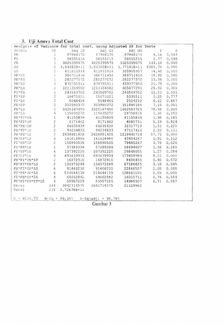### 3. Uji Anova Total Cost

| Analysis of Variance for total cost, using Adjusted SS for Tests                                                                                                                                                                                                                                                                                                                                                                  |                                                                                    |  |  |  |
|-----------------------------------------------------------------------------------------------------------------------------------------------------------------------------------------------------------------------------------------------------------------------------------------------------------------------------------------------------------------------------------------------------------------------------------|------------------------------------------------------------------------------------|--|--|--|
|                                                                                                                                                                                                                                                                                                                                                                                                                                   |                                                                                    |  |  |  |
|                                                                                                                                                                                                                                                                                                                                                                                                                                   |                                                                                    |  |  |  |
|                                                                                                                                                                                                                                                                                                                                                                                                                                   |                                                                                    |  |  |  |
|                                                                                                                                                                                                                                                                                                                                                                                                                                   |                                                                                    |  |  |  |
|                                                                                                                                                                                                                                                                                                                                                                                                                                   |                                                                                    |  |  |  |
|                                                                                                                                                                                                                                                                                                                                                                                                                                   |                                                                                    |  |  |  |
|                                                                                                                                                                                                                                                                                                                                                                                                                                   |                                                                                    |  |  |  |
|                                                                                                                                                                                                                                                                                                                                                                                                                                   |                                                                                    |  |  |  |
|                                                                                                                                                                                                                                                                                                                                                                                                                                   |                                                                                    |  |  |  |
|                                                                                                                                                                                                                                                                                                                                                                                                                                   |                                                                                    |  |  |  |
|                                                                                                                                                                                                                                                                                                                                                                                                                                   |                                                                                    |  |  |  |
|                                                                                                                                                                                                                                                                                                                                                                                                                                   |                                                                                    |  |  |  |
|                                                                                                                                                                                                                                                                                                                                                                                                                                   |                                                                                    |  |  |  |
|                                                                                                                                                                                                                                                                                                                                                                                                                                   |                                                                                    |  |  |  |
|                                                                                                                                                                                                                                                                                                                                                                                                                                   |                                                                                    |  |  |  |
|                                                                                                                                                                                                                                                                                                                                                                                                                                   |                                                                                    |  |  |  |
|                                                                                                                                                                                                                                                                                                                                                                                                                                   |                                                                                    |  |  |  |
|                                                                                                                                                                                                                                                                                                                                                                                                                                   |                                                                                    |  |  |  |
|                                                                                                                                                                                                                                                                                                                                                                                                                                   |                                                                                    |  |  |  |
|                                                                                                                                                                                                                                                                                                                                                                                                                                   |                                                                                    |  |  |  |
|                                                                                                                                                                                                                                                                                                                                                                                                                                   |                                                                                    |  |  |  |
|                                                                                                                                                                                                                                                                                                                                                                                                                                   |                                                                                    |  |  |  |
|                                                                                                                                                                                                                                                                                                                                                                                                                                   |                                                                                    |  |  |  |
|                                                                                                                                                                                                                                                                                                                                                                                                                                   |                                                                                    |  |  |  |
|                                                                                                                                                                                                                                                                                                                                                                                                                                   |                                                                                    |  |  |  |
|                                                                                                                                                                                                                                                                                                                                                                                                                                   |                                                                                    |  |  |  |
|                                                                                                                                                                                                                                                                                                                                                                                                                                   |                                                                                    |  |  |  |
|                                                                                                                                                                                                                                                                                                                                                                                                                                   |                                                                                    |  |  |  |
|                                                                                                                                                                                                                                                                                                                                                                                                                                   |                                                                                    |  |  |  |
|                                                                                                                                                                                                                                                                                                                                                                                                                                   |                                                                                    |  |  |  |
|                                                                                                                                                                                                                                                                                                                                                                                                                                   |                                                                                    |  |  |  |
|                                                                                                                                                                                                                                                                                                                                                                                                                                   |                                                                                    |  |  |  |
| $\begin{array}{cccccccc} \textbf{X} \text{m} \textbf{1}_{\text{SP}} \text{is} & \textbf{c}^2 & \textbf{Var} \textbf{1}_{\text{SP}} \text{is} & \textbf{C} \text{is} \\ \textbf{X} \text{m} \textbf{1}_{\text{SP}} \text{is} & \textbf{C}^2 & \textbf{Var} \textbf{1}_{\text{SP}} \text{is} & \textbf{C} \text{is} \\ \textbf{X} \text{m} \textbf{1}_{\text{SP}} \text{is} & 1 & 87966170 & 87966170 & 8766170 & 8766170$<br>Error | $4$ $59957229$ $59957229$ $14989307$<br>$144$ $3042714575$ $3042714575$ $21129962$ |  |  |  |
| Total                                                                                                                                                                                                                                                                                                                                                                                                                             | 215 3,72678E+11                                                                    |  |  |  |
|                                                                                                                                                                                                                                                                                                                                                                                                                                   |                                                                                    |  |  |  |
| $S = 4596, 73$ $R-Sq = 99, 18%$ $R-Sq (adj) = 98, 78%$                                                                                                                                                                                                                                                                                                                                                                            |                                                                                    |  |  |  |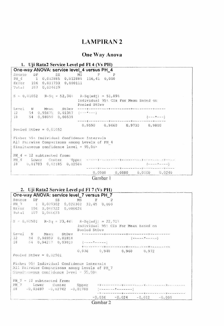## **LAMPIRAN 2**

## **One Way Anova**

| 1. Uji Rata2 Service Level pd FI 4 (Vs PH)                                                                                              |                                                      |
|-----------------------------------------------------------------------------------------------------------------------------------------|------------------------------------------------------|
| One-way ANOVA: service level_4 versus PH 4                                                                                              |                                                      |
| Source<br>$DF$ and $F$                                                                                                                  | SS MS F<br>– P                                       |
| PH 4 1 0,012885 0,012885 116,41 0,000                                                                                                   |                                                      |
| Error 106 0,011733 0,000111                                                                                                             |                                                      |
| Total 107 0,024619                                                                                                                      |                                                      |
| $S = 0,01052$ R-Sq = 52,34% R-Sq(adj) = 51,89%                                                                                          | Individual 95% CIs For Mean Based on<br>Pooled StDev |
| Level.                                                                                                                                  |                                                      |
| $12$ 54 0,95875 0,01387 (---*---)                                                                                                       |                                                      |
| 18 54 0,98059 0,00538                                                                                                                   | $(- - - * - - -)$                                    |
| Pooled StDev = $0,01052$                                                                                                                | $0,9590$ $0,9660$ $0,9730$ $0,9800$                  |
| Fisher 95% Individual Confidence Intervals<br>All Pairwise Comparisons among Levels of PH 4<br>Simultaneous confidence level = $95,00*$ |                                                      |
| PH $4 = 12$ subtracted from:<br>18 0,01783 0,02185 0,02586                                                                              | $(- - - - + - - - -)$                                |
|                                                                                                                                         | $0,0000$ $0,0080$ $0,0160$ $0,0240$                  |

Gambar 1

## 2. Uji Rata2 Service Level pd FI 7 (Vs PH)

| One-way ANOVA: service level 7 versus PH 7                                                                                               |  |  |  |  |  |
|------------------------------------------------------------------------------------------------------------------------------------------|--|--|--|--|--|
| Source DF 5S MS F P                                                                                                                      |  |  |  |  |  |
| PH 7 1 0,020302 0,020302 32,45 0,000                                                                                                     |  |  |  |  |  |
| Error 106 0,066322 0,000626                                                                                                              |  |  |  |  |  |
| Total 107 0,086623                                                                                                                       |  |  |  |  |  |
| $S = 0,02501$ R-Sq = 23,44% R-Sq(adj) = 22,71%<br>Individual 95% CIs For Mean Based on<br>Pooled StDev                                   |  |  |  |  |  |
|                                                                                                                                          |  |  |  |  |  |
| 12 54 0,96959 0,01858<br>$($ ------ $+$ ----- $)$                                                                                        |  |  |  |  |  |
| $18 \t 54 \t 0,94217 \t 0,03010 \t (---+-----)-$                                                                                         |  |  |  |  |  |
|                                                                                                                                          |  |  |  |  |  |
| $0,936$ $0,948$ $0,960$ $0,972$                                                                                                          |  |  |  |  |  |
| Pooled StDev = $0,02501$                                                                                                                 |  |  |  |  |  |
| Fisher 95% Individual Confidence Intervals<br>All Pairwise Comparisons among Levels of PH 7<br>Simaltaneous confidence level $= 95,00\%$ |  |  |  |  |  |
| PH $7 = 12$ subtracted from:                                                                                                             |  |  |  |  |  |
|                                                                                                                                          |  |  |  |  |  |
| $18^{\circ}$ -0,03697 -0,02742 -0,01788 (-------*-------)                                                                                |  |  |  |  |  |
|                                                                                                                                          |  |  |  |  |  |
| $-0,036 -0,024 -0,012 -0,000$                                                                                                            |  |  |  |  |  |
| Gambar 2                                                                                                                                 |  |  |  |  |  |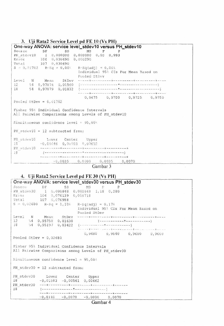3. Uji Rata2 Service Level pd FE 10 (Vs PH) One-way ANOVA: service level\_stdev10 versus PH\_stdev10 Source DF  $^{\rm S}{\rm S}$ MS  $\mathbf{F}$  $\mathbf P$  $1$  0,000000 0,000000 0,00 0,993 PH\_stdev10  $106 - 0,030690 - 0,000290$  $Error$  $107 - 0,030690$ Total  $S = 0,01702$  R-Sq = 0,00%  $R-Sq(adj) = 0,008$ Individual 95% CIs For Mean Based on Pooled StDev Level  $\mathbb{N}^+$ Mean StDev  $54 - 0,97076$  $12$ 0,01560  $54 - 0,97079 - 0,01832$  $18\,$  $0,9675$   $0,9700$   $0,9725$   $0,9750$ Pooled StDev =  $0,01702$ Fisher 95% Individual Confidence Intervals All Pairwise Comparisons among Levels of PH stdev10 Simultaneous confidence level =  $95,00$ } PH stdev10 = 12 subtracted from: PH stdev10 Lower Center Upper  $-0,00646$  0,00003 0,00652  $18$ 18  $-0,0035$  0,0000 0,0035  $0,0070$ 

Gambar 3

 $\mathcal{L}$ 

#### 4. Uji Rata2 Service Level pd FE 30 (Vs PH)

| One-way ANOVA: service level_stdev30 versus PH_stdev30                            |
|-----------------------------------------------------------------------------------|
| Source DF SS MS F P                                                               |
| PH_stdev30   1   0,000848  0,000848  1,18  0,280                                  |
| Erior 106 0,076139 0,000718                                                       |
| Total 107 0,076988                                                                |
| $S = 0,02680$ R-Sq = 1,10% R-Sq(adj) = 0,17%                                      |
| Individual 95% CIs For Mean Based on                                              |
| Pooled StDev                                                                      |
|                                                                                   |
| 12 54 0,95758 0,01630                                                             |
|                                                                                   |
| more and construction and complete more and complete the complete more desired in |
| $0,9480$ $0,9540$ $0,9600$ $0,9660$                                               |
| Pooled StDev = $0,02680$                                                          |
|                                                                                   |
| Fisher 95% Individual Confidence Intervals                                        |
| All Pairwise Comparisons among Levels of PH stdev30                               |
|                                                                                   |
| Simultaneous confidence level = $95,00$ }                                         |
|                                                                                   |
| PH stdev30 = 12 subtracted from:                                                  |
|                                                                                   |
| PH_stdev30 Lower Center Upper                                                     |
| 18<br>$-0,01583 -0,00561 0,00462$                                                 |
|                                                                                   |
| 18                                                                                |
|                                                                                   |
| $-0,0140 -0,0070 -0,0000 0,0070$                                                  |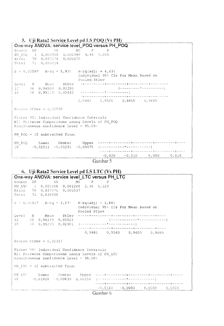5. Uji Rata2 Service Level pd LS POQ (Vs PH) One-way ANOVA: service level POQ versus PH\_POQ Source DF  $SS$  $MS$  $1$  0,002998 0,002998 4,44 0,039 PH POQ 70 0,047216 0,000675 Error  $Total = 71 - 0,050214$  $S = 0.02597$  R-Sq = 5,97%  $R-Sq(adj) = 4,638$ Individual 95% CIs For Mean Based on Pooled StDev Level N Mean StDev  $12 -36$  0,96503 0,01280  $36 \quad 0,95213 \quad 0,03442 \quad (----------------------)$ 18 <u>... 4. so o so o su o de proceso o so o de para o so o o de frances se se</u>  $0,9440$   $0,9520$   $0,9600$   $0,9680$ Pooled StDev =  $0,02597$ Fisher 95% Individual Confidence Intervals All Pairwise Comparisons among Levels of PH POQ Simultaneous confidence level =  $95,00$ % PH POQ = 12 subtracted from:  $PH_POQ$ Lower Center  $-1.8$  $-0,020$   $-0,010$  0,000 0,010

Gambar 5

#### 6. Uji Rata2 Service Level pd LS LTC (Vs PH) One-way ANOVA: service level LTC versus PH LTC Source DF  $SS$  $F$  $MS$  $\Box$ PH LTC  $1 \quad 0,001268 \quad 0,001268 \quad 2,36 \quad 0,129$ 70 0,037570 0,000537 Error Total 71 0,038838  $S = 0,02317$  R-Sq = 3,27% R-Sq(adj) = 1,88% Individual 95% CIs For Mean Based on Pooled StDev Level 36 0,96139 0,01522 12 - (------------\*--------------<mark>-</mark>  $18$  $0,9480$   $0,9540$   $0,9600$   $0,9660$ Pooled StDev =  $0,02317$ Fisher 95% Individual Confidence Intervals All Pairwise Comparisons among Levels of PH LTC Simultaneous confidence level =  $95,00%$ PH LTC =  $12$  subtracted from: PH LTC Lower  $18<sup>1</sup>$  $-0,01928 - 0,00839 - 0,00250$  (-contract contract the contract of  $(0.01928 - 0.00839)$  $-0,0160$   $-0,0080$  0,0000 0,0030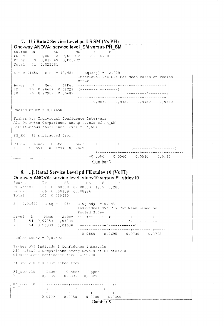7. Uji Rata2 Service Level pd LS SM (Vs PH) One-way ANOVA: service level\_SM versus PH\_SM Source DF  $SS$  $MS$  $\mathbf{F}$  $\mathbf{p}$  $1 \quad 0,003012 \quad 0,003012 \quad 11,07 \quad 0,001$ PH SM Error 70 0,019049 0,000272  $710,022061$ Total  $S = 0$ , 01650 R-Sq = 13, 65% R-Sq (adj) = 12, 42% Individual 95% CIs For Mean Based on Pooled StDev  $Leve1$  $12$ 18 \*\*\*\*--\*\*\*-<del>+\*\*\*\*-----+--\*-------+</del>-------- $0,9660$   $0,9720$   $0,9780$   $0,9840$ Pooled StDev =  $0,01650$ Fisher 95% Individual Confidence Intervals All Pairwise Comparisons among Levels of PH SM Simultaneous confidence  $level = 95,007$  $PH$  SM = 12 subtracted from: Lower Center Upper<br>0,00518 0,01294 0,02069 de concerta con para a a a a condição a a a a a a director da construção PH SM  $18$  $-0,0080$  0,0000 0,0080 0,0160



#### 8. Uji Rata2 Service Level pd FE st.dev 10 (Vs FI)

| Source DF SS MS F P<br>FI_stdev10    1   0,000330   0,000330   1,15   0,285<br>Error    106   0,030359   0,000286<br>Total    107   0,030690<br>$S = 0,01692$ $R-Sq = 1,08t$ $R-Sq(adj) = 0,148$<br>Individual 95% CIs For Mean Based on<br>Pooled StDev<br>$0,9660$ $0,9695$ $0,9730$ $0,9765$<br>Pooled StDev = $0,01692$<br>Fisher 95% Individual Confidence Intervals<br>All Pairwise Comparisons among Levels of FI stdev10<br>Simultaneous confidence level = $95,004$<br>FI stdev10 = 4 subtracted from:<br>FI_stdev10    Lower    Center    Upper<br>7    -0,00996    -0,00350    0,00296<br>7.<br>- +---------+---------+---------+------ | One-way ANOVA: service level_stdev10 versus FI_stdev10 |
|----------------------------------------------------------------------------------------------------------------------------------------------------------------------------------------------------------------------------------------------------------------------------------------------------------------------------------------------------------------------------------------------------------------------------------------------------------------------------------------------------------------------------------------------------------------------------------------------------------------------------------------------------|--------------------------------------------------------|
|                                                                                                                                                                                                                                                                                                                                                                                                                                                                                                                                                                                                                                                    |                                                        |
|                                                                                                                                                                                                                                                                                                                                                                                                                                                                                                                                                                                                                                                    |                                                        |
|                                                                                                                                                                                                                                                                                                                                                                                                                                                                                                                                                                                                                                                    |                                                        |
|                                                                                                                                                                                                                                                                                                                                                                                                                                                                                                                                                                                                                                                    |                                                        |
|                                                                                                                                                                                                                                                                                                                                                                                                                                                                                                                                                                                                                                                    |                                                        |
|                                                                                                                                                                                                                                                                                                                                                                                                                                                                                                                                                                                                                                                    |                                                        |
|                                                                                                                                                                                                                                                                                                                                                                                                                                                                                                                                                                                                                                                    |                                                        |
|                                                                                                                                                                                                                                                                                                                                                                                                                                                                                                                                                                                                                                                    |                                                        |
|                                                                                                                                                                                                                                                                                                                                                                                                                                                                                                                                                                                                                                                    |                                                        |
|                                                                                                                                                                                                                                                                                                                                                                                                                                                                                                                                                                                                                                                    |                                                        |
|                                                                                                                                                                                                                                                                                                                                                                                                                                                                                                                                                                                                                                                    |                                                        |
|                                                                                                                                                                                                                                                                                                                                                                                                                                                                                                                                                                                                                                                    |                                                        |
|                                                                                                                                                                                                                                                                                                                                                                                                                                                                                                                                                                                                                                                    |                                                        |
|                                                                                                                                                                                                                                                                                                                                                                                                                                                                                                                                                                                                                                                    |                                                        |
|                                                                                                                                                                                                                                                                                                                                                                                                                                                                                                                                                                                                                                                    |                                                        |
|                                                                                                                                                                                                                                                                                                                                                                                                                                                                                                                                                                                                                                                    |                                                        |
|                                                                                                                                                                                                                                                                                                                                                                                                                                                                                                                                                                                                                                                    |                                                        |
| $\sim$ $\sim$ $\sim$ $\sim$ $\sim$ $\sim$                                                                                                                                                                                                                                                                                                                                                                                                                                                                                                                                                                                                          | $-0,0100 -0,0050$ 0,0000 0,0050                        |

Gambar 8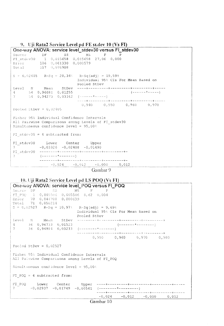#### 9. Uji Rata2 Service Level pd FE st.dev 10 (Vs FI)

One-way ANOVA: service level\_stdev30 versus Fl\_stdev30 Source DF SS MS F P<br>
FI\_stdev30 1 0,015658 0,015658 27,06 0,000<br>
Error 106 0,061330 0,000579<br>
Total 107 0,076988  $S = 0,02405$   $R-Sq = 20,34%$   $R-Sq(adj) = 19,59%$ Individual 95% CIs For Mean Based on Pooled StDev 54 0,96681 0,01255  $4 -54 - 0,94273 - 0,03162$  (------\*-----)  $7 0,940$   $0,950$   $0,960$   $0,970$ Pooled StDev =  $0,02405$ Fisher 95% Individual Confidence Intervals All Pairwise Comparisons among Levels of FI stdev30 Simultaneous confidence level =  $95,00$  % FI stdev30 = 4 subtracted from: FI\_stdev30 Lower Center Upper  $-0,03326 -0,02408 -0,01490$  $7<sup>7</sup>$  $\gamma$  $-0,024 -0,012 -0,000$  0.012

Gambar 9

#### 10. Uji Rata2 Service Level pd LS POQ (Vs FI)

| One-way ANOVA: service level_POQ versus FI_POQ                                                |                                      |
|-----------------------------------------------------------------------------------------------|--------------------------------------|
| Source DF 5S SS MS F P                                                                        |                                      |
| $FI\_POQ = 1 - 0,005506 - 0,005506 - 8,62 - 0,004$                                            |                                      |
| Error 70 0,044708 0,000639                                                                    |                                      |
| Total 71 0,050214                                                                             |                                      |
| $S = 0,02527$ R-Sq = 10,97% R-Sq(adj) = 9,69%                                                 |                                      |
|                                                                                               | Individual 95% CIs For Mean Based on |
| Pooled StDev                                                                                  |                                      |
|                                                                                               |                                      |
| 4 36 0,96733 0,01523                                                                          |                                      |
|                                                                                               |                                      |
|                                                                                               |                                      |
|                                                                                               | $0,950$ $0,960$ $0,970$ $0,980$      |
| Pooled StDev = $0,02527$                                                                      |                                      |
| Fisher 95% Individual Confidence Intervals<br>All Pairwise Comparisons among Levels of FI_POQ |                                      |
| $Simultaneous confidence level = 95,00%$                                                      |                                      |
| FI POQ = $4$ subtracted from:                                                                 |                                      |
|                                                                                               |                                      |
|                                                                                               | $-0,024 -0,012 -0,000 0,012$         |
|                                                                                               |                                      |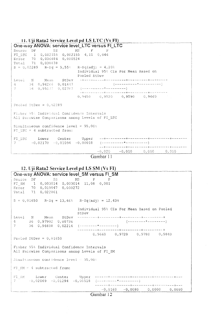| 11. Uji Rata2 Service Level pd LS LTC (Vs FI)   |                                             |
|-------------------------------------------------|---------------------------------------------|
| One-way ANOVA: service level_LTC versus FI_LTC  |                                             |
| Source DF 5S MS F P                             |                                             |
| FI LTC 1 0,002155 0,002155 4,11 0,046           |                                             |
| Error 70 0,036684 0,000524                      |                                             |
| Total 71 0,038838                               |                                             |
| $S = 0.02289$ R-Sq = 5,55% R-Sq(adj) = 4,20%    |                                             |
|                                                 | Individual 95% CIs For Mean Based on        |
|                                                 | Pooled StDev                                |
|                                                 |                                             |
|                                                 |                                             |
|                                                 |                                             |
|                                                 |                                             |
|                                                 | $0,9450$ $0,9520$ $0,9590$ $0,9660$ $^{-1}$ |
| Pooled StDev = $0,02289$                        |                                             |
|                                                 |                                             |
| Fisher 95% Individual Confidence Intervals      |                                             |
| All Pairwise Comparisons among Levels of FI LTC |                                             |
|                                                 |                                             |
| Simultaneous confidence level = $95,00$ %       |                                             |
| FI LTC = $4$ subtracted from:                   |                                             |
|                                                 |                                             |
|                                                 |                                             |
|                                                 |                                             |
|                                                 |                                             |
|                                                 | $-0,020 -0,010 0,000 0,010$                 |
|                                                 | Cambar 11                                   |



## 12. Uji Rata2 Service Level pd LS SM (Vs FI)

| One-way ANOVA: service level_SM versus FI_SM         |                                     |  |  |  |
|------------------------------------------------------|-------------------------------------|--|--|--|
| Source<br>SS MS<br>$DF$ and $T$<br>$F$ $P$           |                                     |  |  |  |
| FI_SM    1   0,003014   0,003014   11,08   0,001     |                                     |  |  |  |
| Error 70 0,019047 0,000272                           |                                     |  |  |  |
| Total 71 0,022061                                    |                                     |  |  |  |
| $S = 0,01650$ R-Sq = 13,66% R-Sq(adj) = 12,43%       |                                     |  |  |  |
| Individual 95% CIs For Mean Based on Pooled<br>StDev |                                     |  |  |  |
| Level N Mean StDev                                   |                                     |  |  |  |
| 4 36 0,97902 0,00736                                 |                                     |  |  |  |
|                                                      |                                     |  |  |  |
|                                                      | $0,9660$ $0,9720$ $0,9780$ $0,9840$ |  |  |  |
| Pooled StDev = $0,01650$                             |                                     |  |  |  |
|                                                      |                                     |  |  |  |
| Fisher 95% Individual Confidence Intervals           |                                     |  |  |  |
| All Pairwise Comparisons among Levels of FI SM       |                                     |  |  |  |
|                                                      |                                     |  |  |  |
| Simultaneous confidence level = 95,00%               |                                     |  |  |  |
|                                                      |                                     |  |  |  |
| FI SM = $4$ subtracted from:                         |                                     |  |  |  |
|                                                      |                                     |  |  |  |
|                                                      |                                     |  |  |  |
|                                                      |                                     |  |  |  |
|                                                      | $-0,0160$ $-0,0080$ 0,0000 0,0080   |  |  |  |
|                                                      |                                     |  |  |  |
| Gambar 12                                            |                                     |  |  |  |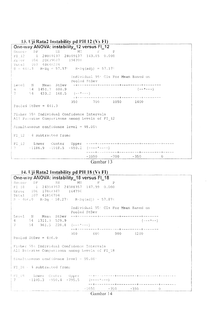#### 13. Uji Rata2 Instability pd PH 12 (Vs FI)

| One-way ANOVA: instability_12 versus FI_12                         |                                                          |                                         |          |
|--------------------------------------------------------------------|----------------------------------------------------------|-----------------------------------------|----------|
| Source DF 5S MS F P                                                |                                                          |                                         |          |
| FI 12 1 28009137 28009137 143.85 0.000                             |                                                          |                                         |          |
| Erior 106 20639087 194708                                          |                                                          |                                         |          |
| Total 107 48648224                                                 |                                                          |                                         |          |
| $S = 441.3$ R-Sq = 57.57% R-Sq(adj) = 57.17%                       |                                                          |                                         |          |
|                                                                    | Individual 95 <sup>%</sup> CIs For Mean Based on         |                                         |          |
|                                                                    | Pooled StDev                                             |                                         |          |
|                                                                    |                                                          |                                         |          |
| $4 \t 54 \t 1451.7 \t 600.9$                                       |                                                          | $(- - + - - -)$                         |          |
| 7 $54$ 433.2 168.5 $(- - + - -)$                                   |                                                          |                                         |          |
|                                                                    | . = +----------+---------+---- <del>-</del> -----+-----+ |                                         |          |
|                                                                    | 350 700 1050 1400                                        |                                         |          |
| Pooled StDev = $441.3$                                             |                                                          |                                         |          |
| Fisher 95% Individual Confidence Intervals                         |                                                          |                                         |          |
|                                                                    |                                                          |                                         |          |
| All Pairwise Comparisons among Levels of FI 12                     |                                                          |                                         |          |
| $Similarity is a 3.5.5.$ Simultaneous confidence level = $95.00\%$ |                                                          |                                         |          |
|                                                                    |                                                          |                                         |          |
| FI $12 - 4$ subtracted from:                                       |                                                          |                                         |          |
|                                                                    |                                                          |                                         |          |
|                                                                    |                                                          |                                         |          |
| $7$ -1186.9 -1018.5 -850.2 (----*----)                             |                                                          |                                         |          |
|                                                                    |                                                          | ----+--------+---------+---------+----- |          |
|                                                                    |                                                          | $-1050$ $-700$ $-350$                   | $\Omega$ |
|                                                                    |                                                          |                                         |          |

Gambar 13

#### 14. Uji Rata2 Instability pd PH 18 (Vs FI)

One-way ANOVA: instability 18 versus FI 18 Source DF SS MS F  $\overline{P}$  $1$  24388357 24388357 147.99 0.000  $FI$  18 Error 106 17468347<br>Total 107 41856704 164796  $S = 406.0$  R-Sq = 58.27% R-Sq(adj) = 57.87% Individual 95% CIs For Mean Based on Pooled StDev  $4 54$  1311.9 529.9  $(- - + + - -)$  $T$  $54$  361.5 220.8 (---\*---)  $300$  600 900 1200 Pooled StDev =  $406.0$ Fisher 95% Individual Confidence Intervals All Pairwise Compatisons among Levels of FI 18 Simultaneous confidence level = 95.00° FI 18 - 4 subtracted from:  $^{F1}$ <sub>7</sub>18 Lower Center Upper<br>7 -1105.3 -950.4 -795.5  $(- - - - + - - -)$  $-1050$   $-700$   $-350$  0

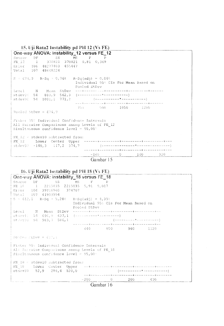| 15. Uji Rata2 Instability pd PH 12 (Vs FE) |  |  |  |
|--------------------------------------------|--|--|--|
|--------------------------------------------|--|--|--|

| One-way ANOVA: instability 12 versus FE 12                                                                                                      |                                                      |  |
|-------------------------------------------------------------------------------------------------------------------------------------------------|------------------------------------------------------|--|
| Source DF 5S MS F P                                                                                                                             |                                                      |  |
| FE 12 1 370821 370821 0,81 0,369                                                                                                                |                                                      |  |
| Error 106 48277403 455447                                                                                                                       |                                                      |  |
| Total 107 48648224                                                                                                                              |                                                      |  |
| $S = 674, 9$ R-Sq = 0,76% R-Sq(adj) = 0,00%                                                                                                     | Individual 95% CIs For Mean Based on<br>Pooled StDev |  |
|                                                                                                                                                 |                                                      |  |
| $stdev10 = 54 = 883, 9 = 562, 3 = (---------+---+---)$                                                                                          |                                                      |  |
|                                                                                                                                                 |                                                      |  |
|                                                                                                                                                 | 750 900 1050 1200                                    |  |
| Pooled StDev = $674.9$                                                                                                                          |                                                      |  |
| Fisher 95% Individual Confidence Intervals<br>All Pairwise Comparisons among Levels of FE 12<br>Simultaneous confidence level = $95,00^{\circ}$ |                                                      |  |
| $\text{FE}$ 12 = stdev10 subtracted from:                                                                                                       |                                                      |  |
|                                                                                                                                                 | $-160$ 0 160<br>320                                  |  |
|                                                                                                                                                 |                                                      |  |
|                                                                                                                                                 | Gambar 15                                            |  |



| One-way ANOVA: instability 18 versus FE 18                                                                                              |                                                                      |
|-----------------------------------------------------------------------------------------------------------------------------------------|----------------------------------------------------------------------|
| Source DF 5S MS F P                                                                                                                     |                                                                      |
| FE 18 1 2215035 2215035 5,91 0,017                                                                                                      |                                                                      |
| Error 106 39718960 374707                                                                                                               |                                                                      |
| Total 107 41933994                                                                                                                      |                                                                      |
| $S = 612, 1$ R-Sq = 5,28% R-Sq(adj) = 4,39%                                                                                             | Individual 95% CIs For Mean Based on<br>Pooled StDey                 |
| Level N Mean StDev                                                                                                                      |                                                                      |
| stdevl{ 54 696, 9 637, 1 (-------------------------------)                                                                              |                                                                      |
| stiev30 54 983,3 586,1                                                                                                                  |                                                                      |
|                                                                                                                                         | www.com/www.com/www.com/www.com/www.com/www.com/<br>640 800 960 1120 |
| Pobled StDev = 612,1                                                                                                                    |                                                                      |
| Fisher 95% Individual Confidence Intervals<br>Al: Patrwise Comparisons among Levels of FE 18<br>Simultaneous confidence level = $95,00$ |                                                                      |
| FE 18 = stdev10 subtracted from:                                                                                                        |                                                                      |
|                                                                                                                                         |                                                                      |
| $stdev30 = 52,9 = 286,4 = 520,0$                                                                                                        |                                                                      |
|                                                                                                                                         | $-200$ 0 200 400                                                     |
|                                                                                                                                         | Gambar 16                                                            |
|                                                                                                                                         |                                                                      |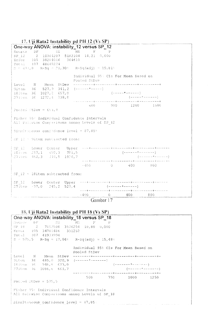#### 17. Uji Rata2 Instability pd PH 12 (Vs SP)

One-way ANOVA: instability 12 versus SP 12  $-\mathbf{p}$ Source DF SS MS F 2 10364207 5182104 14,21 0,000  $SP-12$ Error 105 38284016 364610 Total 107 48648224  $S = 60$ , 8 R-Sq = 21, 30% R-Sq(adj) = 19, 81% Individual 95% CIs For Mean Based on Pooled StDev 9item 36 527,9 341,2 (------\*-----) 18ítem 36 1027,2 657,0  $(---- + - - - - - - - -)$ 27item 36 1272,4 738,8 -----+---------+----------600 900 1200 1500 Pooled StDev =  $603, 8$ Fisher 954 Individual Confidence Intervals All Pairwise Comparisons among Levels of SP\_12  $S[1mm]$  tendons confidence level = 87.85} SP 12 m 9item subtracted from: SP\_12 Lower Center Upper<br>181tea 217,1 499,3 781,5<br>27itea 462,3 744,5 1036,7  $(\begin{array}{c} \left( \begin{array}{c} \text{---} & \text{---} & \text{---} & \text{---} & \text{---} \\ \text{---} & \text{---} & \text{---} & \text{---} & \text{---} \\ \text{---} & \text{---} & \text{---} & \text{---} & \text{---} \end{array} \end{array})$  $($  ------\*\*\*----- $-400$  0  $400$  800  $SF$  12 = 18item subtracted from: SP\_12 Lower Center Upper  $27$ item  $-37,0$   $245,2$   $527,4$  $(----- + - - - +$  $-400$  0 400 800

Gambar 17

#### 18. Uji Rata2 Instability pd PH 18 (Vs SP)

One-way ANOVA: instability\_18 versus SP\_18 Source DP  $SS = \boxed{MS} = \boxed{P} = \boxed{P}$  $\texttt{SP}{=}1.8$  .  $-2$  7152508 3576254 10,80 0,000 Error 105 34781486 331252 Total 107 41933994  $S = 575, 5$  R-Sq = 17,06% R-Sq(adj) = 15,48% Individual 95% CIs For Mean Based on Pooled StDev  $\mathbb N$ Mean StDev Level  $485,0$  320,9 (------\*-------) 9item 36 18item 36 948,8 673,0  $(-1)^{n}$ 27item 36 1086,  $\varepsilon = 661, 7$  $($  - - - - - -  $\sim$   $\sim$   $\sim$  - - - - -  $\sim$ 500 750 1000 1250 Pooled StDev =  $575, 5$ Fisher 95t Individual Confidence Intervals All Fairwise Comparisons among Levels of SP 18 Simultaneous confidence level =  $87,85$ . ing the same companies and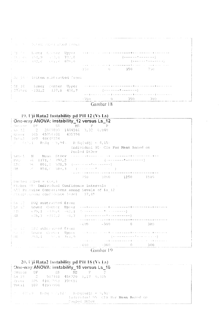| [ IN The Lower Choter Upper<br>a septima da a construção de construções do produções da construção de construções do p<br>- (======**=======)<br>- 中和日 みらい 目の時に9 - 一目の③には - 73358<br>人名法尼亚尼 网络狼头脑 人名英瓦克 一般厚厚的<br>المنكا منتوط وطارات الكوبية سكسسسم والاعتراض بالتاريخ<br>$-350$ $-750$ $-750$<br>(Sr 18) laitem subtracted from:<br>- conference communication and the communication of the communication<br>  SE 18   Lower Center Upper<br>$($ - - - - - - - * - - - - - - - $)$<br>$+27$ item $-131, 2$ $-137, 8$ $-406, 7$ . |  | where the faten end there are discremen |  |  |  |
|-----------------------------------------------------------------------------------------------------------------------------------------------------------------------------------------------------------------------------------------------------------------------------------------------------------------------------------------------------------------------------------------------------------------------------------------------------------------------------------------------------------------------------------|--|-----------------------------------------|--|--|--|
|                                                                                                                                                                                                                                                                                                                                                                                                                                                                                                                                   |  |                                         |  |  |  |
|                                                                                                                                                                                                                                                                                                                                                                                                                                                                                                                                   |  |                                         |  |  |  |
|                                                                                                                                                                                                                                                                                                                                                                                                                                                                                                                                   |  |                                         |  |  |  |
|                                                                                                                                                                                                                                                                                                                                                                                                                                                                                                                                   |  |                                         |  |  |  |



### 19. Uji Rata2 Instability pd PH 12 (Vs Ls)

|             |                                |  | One-way ANOVA: instability_12 versus Ls_12                                                   |                                                                                                                                                 |                                                               |                                                                                                               |  |
|-------------|--------------------------------|--|----------------------------------------------------------------------------------------------|-------------------------------------------------------------------------------------------------------------------------------------------------|---------------------------------------------------------------|---------------------------------------------------------------------------------------------------------------|--|
|             |                                |  | Source DP 5S MS P                                                                            | $\mathbb{P}^1$                                                                                                                                  |                                                               |                                                                                                               |  |
|             |                                |  | , US (2 - 2 - 2800803 - 1444946 - 3,32 - 0,040                                               |                                                                                                                                                 |                                                               |                                                                                                               |  |
|             | Extern 105 45758331 435794     |  |                                                                                              |                                                                                                                                                 |                                                               |                                                                                                               |  |
|             | Total 107 48648224             |  |                                                                                              |                                                                                                                                                 |                                                               |                                                                                                               |  |
|             |                                |  | $v = (x^2, 1 - \text{ReSq} + 5, 94)$ R-Sq(adj) = 4,15%                                       | Individual 95 Cls For Mean Based on                                                                                                             |                                                               |                                                                                                               |  |
|             |                                |  | Pooled StDev                                                                                 |                                                                                                                                                 |                                                               |                                                                                                               |  |
|             |                                |  |                                                                                              |                                                                                                                                                 |                                                               |                                                                                                               |  |
|             | POTE 36 1171, 7 797, 2         |  |                                                                                              | $\qquad \qquad \left\{ \begin{array}{l} \ldots \ldots \ldots \ldots \ldots \ldots \star \ldots \ldots \ldots \ldots \ldots \end{array} \right.$ |                                                               |                                                                                                               |  |
|             |                                |  | $1.90 = 36 = 801, 1 = 578, 9 = (112)(112) = 1122$                                            |                                                                                                                                                 |                                                               |                                                                                                               |  |
| 子種 コンティング・フ |                                |  |                                                                                              | $-854, i = 580, 3$ (i.e. matrix $i = 1, , 9$                                                                                                    |                                                               |                                                                                                               |  |
|             |                                |  |                                                                                              | a postal de la producción de la proposición de la pode de la producción de la producción de la producción de l<br>750 1000 1250 1500            |                                                               |                                                                                                               |  |
|             | Pocled Stiev = 660,1           |  |                                                                                              |                                                                                                                                                 |                                                               |                                                                                                               |  |
|             |                                |  |                                                                                              |                                                                                                                                                 |                                                               |                                                                                                               |  |
|             |                                |  |                                                                                              |                                                                                                                                                 |                                                               |                                                                                                               |  |
|             |                                |  | Fisher 95% Individual Confidence Intervals<br>All Pairwise Comparisons among Levels of Ls 12 |                                                                                                                                                 |                                                               |                                                                                                               |  |
|             |                                |  | stimilistancus confidence level 37,85:                                                       |                                                                                                                                                 |                                                               |                                                                                                               |  |
|             |                                |  |                                                                                              |                                                                                                                                                 |                                                               |                                                                                                               |  |
|             | 1s 12 POQ subtracted from:     |  |                                                                                              |                                                                                                                                                 |                                                               |                                                                                                               |  |
|             |                                |  |                                                                                              |                                                                                                                                                 |                                                               |                                                                                                               |  |
|             |                                |  |                                                                                              | $-6.79$ , 1 $-6.370$ , 6 $-62$ , 1 $-$ (connections to connecting)                                                                              |                                                               |                                                                                                               |  |
|             |                                |  |                                                                                              | $SM = e(25, 7 - 317, 2 - 8, 7) = (-11.2 + 1.2 + 1.2)$                                                                                           |                                                               |                                                                                                               |  |
|             |                                |  |                                                                                              |                                                                                                                                                 |                                                               | with a property with the companies of the companies of the companies of the companies of the companies of the |  |
|             |                                |  |                                                                                              | $-600 = -300 = 0$                                                                                                                               |                                                               | -300                                                                                                          |  |
|             |                                |  |                                                                                              |                                                                                                                                                 |                                                               |                                                                                                               |  |
|             | well from the subtracted from: |  |                                                                                              |                                                                                                                                                 |                                                               |                                                                                                               |  |
|             | 主団打ち 255,1 57,4 3cm,9          |  |                                                                                              |                                                                                                                                                 | الإستاذات المتاعين المتاعين فالمرابط بديقا يقاسم ساعدتهم إراد | Will Source (cuter Upper Upper ) who are considered to the technological state                                |  |
| 不望に シート     |                                |  |                                                                                              | $-600$ $-300$ 0 0 300                                                                                                                           |                                                               | المستقطع والمتاريخ والمتابع والمستقطع والمستقطع والمتاريخ والمنادر                                            |  |



## 20. Uji Rata2 Instability pd PH 18 (Vs Ls) One-way ANOVA: instability\_18 versus Ls\_18<br>
Source DF SS MS F P<br>
Ls\_19 2 912441 456220 1,17 0,315<br>
drive 105 4101:1553 39681 Total 107 41933994  $\mathbb{R}^2 \mathbb{Z}$ ,  $\theta = \mathbb{R} \oplus \mathbb{S} q \cong \mathbb{Z}$ ,  $1\delta^2 = \mathbb{R} \oplus \mathbb{S} q$  (adj) =  $\theta$ , 31<sup>1</sup><br>Individual 95 (dIs For **Mean B**ased on  $\sim$ Pooled StDev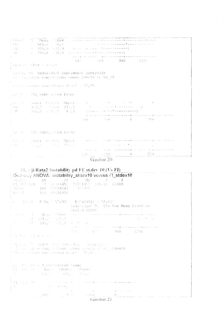"The Mean Fubev Frement -الأستناء والمساوي والمستقيم فتقاسمهم المتواطن المتواطنين  $1.65\%$  $+1 - 968$ ,  $6 - 50$ , 1  $\mathbb{CP}^1$  $\ldots$  793,0  $\sim$  74,0 .<br>و د ماما د ماما ماما با استان الا ماما ...  $\pm 38$  $-758, 6 - 18, 1$  $\hat{r}$  , and  $\hat{r}$  , and  $\hat{r}$  $\sim$  y  $\sim$ بلوات الأباد  $\sim$   $\sim$   $\pm$ داری کا کار دارد که بازی در این - 645  $\sim 200$   $\sim$ 960 1120 Route' "CDay & edupt Finish, 95 Individual Confidence Intervals Als Patrudse Comparisons among Levels of Ls 18 The Consense concedence level = 27,95 pas province subtrated from:  $\begin{array}{l} \left( \begin{array}{cccc} 0.5 & 0.8 \\ 0.01 & 0.1 \end{array} \right) & \text{power} & \text{constant} & \text{Upper} \\ \left( \begin{array}{cccc} 0.01 & 0.4 \\ 0.01 & 0.01 \end{array} \right) & \text{time} & \text{time} & \text{time} \\ \left( \begin{array}{cccc} 0.01 & 0.8 \\ 0.01 & 0.01 \end{array} \right) & \text{time} & \text{time} & \text{time} \\ \left( \begin{array}{cccc} 0.01 & 0.8 \\ 0.01 & 0.01 \end{array} \$  $\sim$   $+$  $\frac{1}{2}$  ,  $\Delta \xi$  , and the component of the component of the set of the component of the component of the component of the component of the component of the component of the component of the component of the component of the component of the  $\sim$   $\sim$   $+$   $\sim$  $(60 - 250 - 0) = 0$  $\frac{1}{2} \frac{1}{G} \left( 1 - \frac{1}{2} \right)^{\frac{1}{2}}$  . HTC subspaced from: 加利用 Rower Chiter Upper سالات سنهبط المدار  $\alpha = 1, 2, 3, 4, 5$  $\mathcal{F}^{\mathcal{G}}$  , which is a simple point of the set of  $\mathcal{F}^{\mathcal{G}}$  , and  $\mathcal{F}^{\mathcal{G}}$ strage of the state of the pro- $1.544$ .<br>The additional companies of the companies of the partnership of the companies of the companies of the companies de la companya  $-5.06$  (1)  $-1.50$  $6 - 250$ 

Gambar 20

#### 21. ('ji Rata2 (astability pd FE st.dev 10 (Vs FI) One-way ANOVA: instability stdev10 versus F1 stdev10

|                            | 1 Mars - 196 17854547 - 1890eth<br>1 Meirice - 197 19118998                                                                                                                                                                                                                                                                                                                                                                                                                 | nuto and service to the DP in the SS of the MS in the P in the P<br>→ RE Patel (ViO) → 【1 - 12 (64452 - 223) 4452 → 245165 → 0,000                                                                                                                                                                                                                                                                                                                                               |                                                                                                                                                                                    |  |
|----------------------------|-----------------------------------------------------------------------------------------------------------------------------------------------------------------------------------------------------------------------------------------------------------------------------------------------------------------------------------------------------------------------------------------------------------------------------------------------------------------------------|----------------------------------------------------------------------------------------------------------------------------------------------------------------------------------------------------------------------------------------------------------------------------------------------------------------------------------------------------------------------------------------------------------------------------------------------------------------------------------|------------------------------------------------------------------------------------------------------------------------------------------------------------------------------------|--|
|                            |                                                                                                                                                                                                                                                                                                                                                                                                                                                                             | :<br>, f = 300, 3 = R+Sq + 57,02% = R+Sq(adj) = 56,63*<br>Pooled StDev                                                                                                                                                                                                                                                                                                                                                                                                           | Individual 95 CIs For Mean Rased on                                                                                                                                                |  |
|                            | $\begin{split} &\frac{1}{2} \left( \frac{1}{2} \right) \left( \frac{1}{2} \right) \left( \frac{1}{2} \right) \left( \frac{1}{2} \right) \left( \frac{1}{2} \right) \left( \frac{1}{2} \right) \left( \frac{1}{2} \right) \left( \frac{1}{2} \right) \left( \frac{1}{2} \right) \left( \frac{1}{2} \right) \left( \frac{1}{2} \right) \left( \frac{1}{2} \right) \left( \frac{1}{2} \right) \left( \frac{1}{2} \right) \left( \frac{1}{2} \right) \left( \frac{1}{2} \right$ |                                                                                                                                                                                                                                                                                                                                                                                                                                                                                  | and with the Mean Strey constant in American American constants of the<br>こくせいしん しょく<br>متربت والمستقلة والمناسبة والمناولة والمتقادرات التراث والمنافر والمنادر والمنادر والمنادر |  |
| a mandado esta y candidad. |                                                                                                                                                                                                                                                                                                                                                                                                                                                                             |                                                                                                                                                                                                                                                                                                                                                                                                                                                                                  | 1910 - Graham Carl 1200                                                                                                                                                            |  |
|                            |                                                                                                                                                                                                                                                                                                                                                                                                                                                                             | with a still hadiy stall Contribute Theoretic<br>to in the laste Companions among preels of Figureau 0<br>With I wasse contribute live! (95,00)                                                                                                                                                                                                                                                                                                                                  |                                                                                                                                                                                    |  |
|                            | parameters (P) = 4 pointacted from:<br>a Place the Party of Lotter Center and Momer<br>アンティー・エー はりぼう インテン (骨体) アンドラクステル                                                                                                                                                                                                                                                                                                                                                     |                                                                                                                                                                                                                                                                                                                                                                                                                                                                                  |                                                                                                                                                                                    |  |
|                            |                                                                                                                                                                                                                                                                                                                                                                                                                                                                             | $\begin{cases} \mathcal{P} \left( \bigcup_{i \in \mathbb{N}} \mathcal{Q}_i \right) \geq \mathcal{P} \left( \bigcup_{i \in \mathbb{N}} \mathcal{Q}_i \right) \geq \mathcal{P} \left( \bigcup_{i \in \mathbb{N}} \mathcal{Q}_i \right) \geq \mathcal{P} \left( \bigcup_{i \in \mathbb{N}} \mathcal{Q}_i \right) \geq \mathcal{P} \left( \bigcup_{i \in \mathbb{N}} \mathcal{Q}_i \right) \geq \mathcal{P} \left( \bigcup_{i \in \mathbb{N}} \mathcal{Q}_i \right) \geq \mathcal{P$ |                                                                                                                                                                                    |  |
|                            |                                                                                                                                                                                                                                                                                                                                                                                                                                                                             | - Gambar 21                                                                                                                                                                                                                                                                                                                                                                                                                                                                      |                                                                                                                                                                                    |  |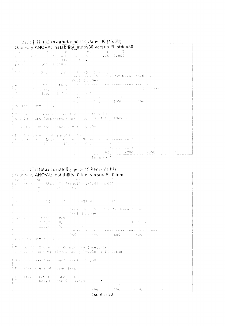22. Uji Rata2 instability pd FE st.dev 30 (Vs FI)  $\Delta \omega_{\rm{max}}$  , which is a set of the set of the set of  $\omega_{\rm{max}}$ One-way ANOVA: instability\_stdev30 versus Fl\_stdev30  $-$  P  $\,$  $\label{eq:11} \text{Bergence} \qquad \qquad \text{DF} \qquad \qquad \text{SP} \qquad$  $MSS$  $\mathbb{R}^n \times \mathbb{R}^n$  . 30~0618: 1+5,65 0,000  $\Phi = -0.041722328$  $-1 - 0.0618c$ Britan (1967) 19423477 (1) 396429  $-107 - 1.42966$ 全线 行业  $\left\{ \left( \mathcal{S} \right) \right\} \subset \left\{ \mathcal{S} \right\} \subset \left\{ \mathcal{S} \right\} \subset \left\{ \mathcal{R} \right\} \subset \left\{ \mathcal{S} \right\} \subset \left\{ \mathcal{S} \right\} \subset \left\{ \mathcal{S} \right\} \subset \left\{ \mathcal{S} \right\} \subset \left\{ \mathcal{S} \right\} \subset \left\{ \mathcal{S} \right\} \subset \left\{ \mathcal{S} \right\} \subset \left\{ \mathcal{S} \right\} \subset \left\{ \mathcal{S} \right\} \subset \left\{ \math$  $F \cdot \text{Tr}(\text{G}(\text{adj})) = 61,18^{\circ}$ individual of Cis For Mean Rased on Poul d'aubeur  $X = \frac{M\alpha_{21}}{1524} = \frac{24 \text{EeV}}{5724}$ <br>  $-4 = \frac{4524}{459} = \frac{5724}{1824}$ وتعاون والمستقلة والمتعاقب والمستشفرة والشام والمستقلة والمتعاون والمناقص Garage C  $\frac{1}{2}$  .  $\left\langle \left( \begin{array}{ccc} 0 & 0 & 0 \\ 0 & 0 & 0 \end{array} \right) \left( \begin{array}{ccc} 0 & 0 & 0 \\ 0 & 0 & 0 \\ 0 & 0 & 0 \end{array} \right) \right\rangle$  $\chi_{\rm{max}}$  ,  $\chi_{\rm{max}}$  $^{3}$  Particle Stipev = 1 A. F. (Signer 9) Individual Contidence Intervals. , All Flirwise Companisons among hevels of FI\_stdev30 I will consider dence low! [35,00] Free while 20 = 4 unit racted from:  $\frac{W_{1,1}^2}{W_{1,1}^2}$  and  $W_{1,1}^2$  . Central of Bipper and the following the constraints of the control of  $100 \times 100$  (  $\pi$  ) of  $100 \times 100$  (  $\pi$  ) and  $\pi$  (  $\pi$  ). المتماسية والمستقل التناسيس والمتمرد التسابيل والمساسم المستشرق والأنسان  $-350$  ...  $-700$  ...  $-350$  ... Gambar 22 23. Uji Rata2 rastability pd SP 9 item (Vs FI). One-way ANOVA: instability 9item versus FI 9item  $\begin{array}{cccccc} \text{Sospace} & \text{S.} & \text{S.} & \text{S.} & \text{S.} & \text{S.} & \text{S.} & \text{S.} \\ \text{S.} & \text{S.} & \text{S.} & \text{S.} & \text{S.} & \text{S.} & \text{S.} & \text{S.} \\ \text{S.} & \text{S.} & \text{S.} & \text{S.} & \text{S.} & \text{S.} & \text{S.} & \text{S.} \\ \text{S.} & \text{S.} & \text{S.} & \text{S.} & \text{S.} & \text{S.} & \$  $\begin{array}{lllll} R_{\rm B} & \pi_{\rm B} & \pi_{\rm B} & \pi_{\rm B} & \pi_{\rm B} & \pi_{\rm B} & \pi_{\rm B} \\ R_{\rm B} & \pi_{\rm B} & \pi_{\rm B} & \pi_{\rm B} & \pi_{\rm B} & \pi_{\rm B} \\ R_{\rm B} & \pi_{\rm B} & \pi_{\rm B} & \pi_{\rm B} & \pi_{\rm B} & \pi_{\rm B} \\ \end{array}$  $1.398\times$ D. S. C. C. S. R. Sq. (22) W. S. R. Sq.(2d)) = 71,500 Individual 95% Cis For Mean Based on **Shandord** BillWey  $\label{eq:4} \hat{\mathbf{r}}_{\text{eff}} = \hat{\mathbf{r}}_{\text{eff}} + \hat{\mathbf{r}}_{\text{eff}} + \hat{\mathbf{r}}_{\text{eff}} + \hat{\mathbf{r}}_{\text{eff}} + \hat{\mathbf{r}}_{\text{eff}}$ المناور والمستحدث والمراوي والمتعارف والمستقل والمستقل والمتعارف والمناور  $\mathcal{L} = \left\{ \begin{array}{l} 0 \leq \alpha \leq \lambda \leq \alpha \leq \lambda \leq \lambda \end{array} \right\} \ .$  $\mathcal{O}(\mathcal{O}(1/\sqrt{2}))$  $\begin{array}{l} \texttt{14.22} \end{array} \quad \begin{array}{l} \texttt{11.13} \end{array} \quad \begin{array}{l} \texttt{11.13} \end{array} \quad \begin{array}{l} \texttt{12.13} \end{array} \quad \begin{array}{l} \texttt{13.13} \end{array} \quad \begin{array}{l} \texttt{14.13} \end{array} \quad \begin{array}{l} \texttt{15.13} \end{array} \quad \begin{array}{l} \texttt{16.0} \end{array} \quad \begin{array}{l} \texttt{16.0} \end{array} \quad \begin{array}{l$ Pound StDev = 1.4.5 Picher 05: Individual Confidence Intervals TAll is invide Comparisons among Lovels of FT 9item (Sin ) marous confidence level (95,00) Williams 4 subtrated from: Fl Sating Lower Center Upper a met de montant de la temperatura de la temperatura de la temperatura de  $\left\Vert \left\Vert \mathbf{q}\right\Vert \right\Vert _{1}$  $-638, 9 - 556, 9 - 474, 9$  $(--- + - - - -)$ استالا والبابات بالمنفع المناب سسطسطرس متشمر كالمناوب Gambar 23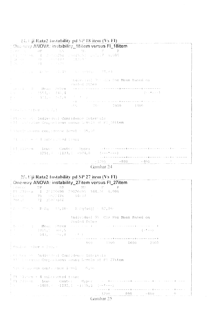24. Uji Rata2 Instability pd SP 18 item (Vs FI) One way ANOVA: instability\_18item versus FI\_18item The common Report of House Respective (74) 04. Trailwreigh Marsis for Mean Based on Poolid StDev ncisi B - Mean St<mark>bev</mark><br>19 - 1554, 1445,4<br>19 - 191,5 - 161,8 <u>sa pala cara mang sa mang mga maangang ng mga mga mga mga pang</u>  $\mathcal{L} = \{ \{1,2,3,4,2,3,4\}$ the anti-section of the section of the Prisons of Individual Confidence Intervals 1.51 Technolise Compartmens among boyels of FJ 18item infruit second confidence level = 05,00 Since the state of a subtractured in our <u>s chanca a mundo formo son con a fu o o o o con o o profesiono o </u>  $-800 -400$  $\hat{f}$  , and  $\hat{f}$  are  $\hat{f}$  , and  $\hat{f}$  , and  $\hat{f}$  are an intermediated as

Gambar 24

 $\mathbb{R}$ 

#### 25. Uji Rata2 Instability pd SP 27 item (Vs FI) Openway ANOVA: instability 27 item versus El 27 item

| i chroc DF. | $\sim$ one-way move vm. motability $\sim$ nem versus in $\sim$ nem<br>$SS -$                        | -MS-<br>and a state and                                                                                        |                                                                        |               |  |
|-------------|-----------------------------------------------------------------------------------------------------|----------------------------------------------------------------------------------------------------------------|------------------------------------------------------------------------|---------------|--|
|             | $\pm 39$ . $2710\,c_{10} = 1 - 27426690$ . $29426696$ . $3447.26$ . 0,000                           |                                                                                                                |                                                                        |               |  |
|             |                                                                                                     |                                                                                                                |                                                                        |               |  |
|             | [ Motif   71 35849166                                                                               |                                                                                                                |                                                                        |               |  |
|             | $\pm$ 5 $\pm$ 2001/6 $\pm$ R-Bq $\pm$ 43, 10 $\pm$ 18.40q (adj) $\pm$ 32, 36 $\pm$                  |                                                                                                                |                                                                        |               |  |
|             |                                                                                                     | Individual 95 Cls For Mean Based on<br>Pooled StDev                                                            |                                                                        |               |  |
|             | [dated of Mean Strey (see Fig. ) (see Fig. ) and the second of the second of $\mathbb{R}^2$         |                                                                                                                |                                                                        |               |  |
|             |                                                                                                     |                                                                                                                |                                                                        | $(1 + k + 1)$ |  |
|             | $1 + 1 + 1 + 1 + 1 + 543$ , $1 + 100$ , $8 + 100$ , $100$                                           | بها می می باشد و می باشد و این می باشد و باشد و باشد و باشد از می باشد و این می باشد و این می باشد و باشد و ای |                                                                        |               |  |
|             |                                                                                                     |                                                                                                                | 800 1300 1600 2000                                                     |               |  |
|             | <sup>i p</sup> oulvě jspev = 259,5                                                                  |                                                                                                                |                                                                        |               |  |
|             | pir her at Indieshed Confidence Intervals<br>1.411 Essenhor Comparisons among Levels of F1 27item   |                                                                                                                |                                                                        |               |  |
|             | (Simplicate ous controlence invelope 6,00)                                                          |                                                                                                                |                                                                        |               |  |
|             | $21 - 77 + 9 = 4$ subtracted from:                                                                  |                                                                                                                |                                                                        |               |  |
|             | $\frac{1}{2}$ F1 (2.7)) am $\sim$ Lower - Center - Upper - a state consequence and the contract and |                                                                                                                | المستطرفات المتماعية فسيط وترميد وسيدهم ومطرف ستستست والمسامر والمنادر |               |  |
|             |                                                                                                     | $\frac{1200}{200}$ $-800$ $-400$ $0$                                                                           |                                                                        |               |  |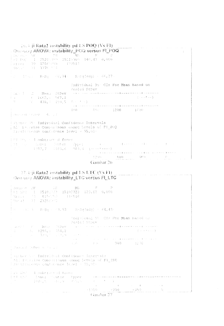$26.3$  ii Rata2 instability pd LS POQ (Vs F1). , One-way ANOVA: instability\_POQ versus FLPOQ  $\begin{array}{ccccccccc}\n & \text{Euler} & \text{Euler} & \text{Euler} & \text{Euler} & \text{Euler} & \text{Euler} & \text{Euler} & \text{Euler} & \text{Euler} & \text{Euler} & \text{Euler} & \text{Euler} & \text{Euler} & \text{Euler} & \text{Euler} & \text{Euler} & \text{Euler} & \text{Euler} & \text{Euler} & \text{Euler} & \text{Euler} & \text{Euler} & \text{Euler} & \text{Euler} & \text{Euler} & \text{Euler} & \text{Euler} & \text{Euler} & \text{Euler} & \text{Euler}$  $-15.77$   $R-Sq = -66,74$   $R-Sq(adj) = 66,27$ Individual 95: CIs For Mean Based on Pooled StDev a provincial completed and completed with a different complete There I (1) Mean StDev  $\frac{1}{2}$  (1662, 0 567, 1<br>  $\frac{1}{2}$  (478, 1 193, 5 6 + 2 + )  $\cdots \cdots \oplus \cdots \oplus \cdots \oplus \cdots \oplus \cdots \oplus \oplus \cdots \oplus \cdots \oplus \cdots \oplus \cdots \oplus \cdots \oplus \cdots \oplus \cdots \oplus \cdots \oplus \cdots \oplus \cdots \oplus \cdots \oplus \cdots \oplus \cdots \oplus \cdots \oplus \cdots \oplus \cdots \oplus \cdots \oplus \cdots \oplus \cdots \oplus \cdots \oplus \cdots \oplus \cdots \oplus \cdots \oplus \cdots \oplus \cdots \oplus \cdots \oplus \cdots \oplus \cdots \oplus \cdots \oplus \cdots \oplus \cdots \$ 400 898 1200 1600 Provident Standard A. J.J. Wither 35: Individual Confidence Intervals [All latiwise Comparisons among Levels of F1 POQ Simulteneous confidence level = 95,000 [ MI WALL A subtracted from: - Fig. 1992. - Howen - Dont en Opper: The Communication of the Communication of the Communication of the Communication of the Communication of the Communication of the Communication of the Communication of the Communicat  $\begin{array}{l} \mathbb{C}^{2} \longrightarrow \mathbb{C}^{2} \longrightarrow \mathbb{C}^{2} \longrightarrow \mathbb{C}^{2} \longrightarrow \mathbb{C}^{2} \longrightarrow \mathbb{C}^{2} \longrightarrow \mathbb{C}^{2} \longrightarrow \mathbb{C}^{2} \longrightarrow \mathbb{C}^{2} \longrightarrow \mathbb{C}^{2} \longrightarrow \mathbb{C}^{2} \longrightarrow \mathbb{C}^{2} \longrightarrow \mathbb{C}^{2} \longrightarrow \mathbb{C}^{2} \longrightarrow \mathbb{C}^{2} \longrightarrow \mathbb{C}^{2} \longrightarrow \mathbb{C}^{2} \longrightarrow \mathbb{C}^{2} \longrightarrow \mathbb{C}^{2} \longrightarrow \mathbb{$ Gambar 26

#### 27. Gji Rata2 instability pd LS LTC (Vs F1) One way ANOVA: instability LTC versus FI\_LTC

| Source DF (1980) 25 ST (1980)<br>EFT SPC = 1 = 15103733 = 15102723 = 129,62 = 0,000<br>(Storal - 71 - 23252040)                                                                                                                                                                                                                                                                                                                                                                                                                                                                                                                                                                                                                                                                                                                           | 그는 아이들의 말이 아이들이 모르겠                                                                                                                                                                                                                              |             |
|-------------------------------------------------------------------------------------------------------------------------------------------------------------------------------------------------------------------------------------------------------------------------------------------------------------------------------------------------------------------------------------------------------------------------------------------------------------------------------------------------------------------------------------------------------------------------------------------------------------------------------------------------------------------------------------------------------------------------------------------------------------------------------------------------------------------------------------------|--------------------------------------------------------------------------------------------------------------------------------------------------------------------------------------------------------------------------------------------------|-------------|
| $\frac{1}{3}$ y = (4) 3 = R-Sq = (4,93) = R-Sq(adj) = 64,43)                                                                                                                                                                                                                                                                                                                                                                                                                                                                                                                                                                                                                                                                                                                                                                              |                                                                                                                                                                                                                                                  |             |
|                                                                                                                                                                                                                                                                                                                                                                                                                                                                                                                                                                                                                                                                                                                                                                                                                                           | fadividual 95 Cls For Mean Based on<br>Poble! Sthew                                                                                                                                                                                              |             |
| The community of Batteries and Mary State and Community                                                                                                                                                                                                                                                                                                                                                                                                                                                                                                                                                                                                                                                                                                                                                                                   | Thursday (1999) - Mean - C.Deville and the contract and component contract community<br>من والمنابع التي يتعطفون المستقل التي تناسب المنابع التي يتم المناسب المنابع المنابع المنابع المنابع                                                     | (子) いっせんぶつき |
| $\langle \cdot \rangle \langle \cdot \rangle \langle \langle \cdot \rangle \langle \cdot \rangle \langle \cdot \rangle \langle \cdot \rangle \langle \cdot \rangle \langle \cdot \rangle \langle \cdot \rangle \langle \cdot \rangle \langle \cdot \rangle \langle \cdot \rangle \langle \cdot \rangle \langle \cdot \rangle \langle \cdot \rangle \langle \cdot \rangle \langle \cdot \rangle \langle \cdot \rangle \langle \cdot \rangle \langle \cdot \rangle \langle \cdot \rangle \langle \cdot \rangle \langle \cdot \rangle \langle \cdot \rangle \langle \cdot \rangle \langle \cdot \rangle \langle \cdot \rangle \langle \cdot \rangle \langle \cdot \rangle \langle \cdot \rangle \langle \cdot \rangle \langle \cdot \rangle \langle \cdot \rangle \langle \cdot \rangle \langle \cdot \rangle \langle \cdot \rangle \langle$ | 40.4 (2008) 4.4 (2008) 4.4 (2008) 4.4 (2008) 4.4 (2008) 4.4 (2008) 4.4 (2008) 4.4 (2008) 4.4 (2008) 4.4 (2008) 4.4 (2008) 4.4 (2008) 4.4 (2008) 4.4 (2008) 4.4 (2008) 4.4 (2008) 4.4 (2008) 4.4 (2008) 4.4 (2008) 4.4 (2008) 4.                  |             |
| pender to findividual Confidence Interesis<br>ist discussors configurace lavel = 95,90+                                                                                                                                                                                                                                                                                                                                                                                                                                                                                                                                                                                                                                                                                                                                                   | All Parries and Comparted Constanoing Levels of Fl LTC                                                                                                                                                                                           |             |
| East ETS' of nubtree of from:<br>  PT にじこ - flower - Sunter - Upper - -                                                                                                                                                                                                                                                                                                                                                                                                                                                                                                                                                                                                                                                                                                                                                                   | $\label{eq:1.1} \mathcal{L}(t) = \{0, t_{i,j}   b_{i,j} = 1, t_{i,j}   0 \leq i \leq t_{i,j}   b_{i,j} = 1, i \leq j-1, i \leq j-1 \}.$<br>the control of the control of the control of the control of the control of<br>$-1050$ $-700$ $-350$ 0 |             |
| $\sim$                                                                                                                                                                                                                                                                                                                                                                                                                                                                                                                                                                                                                                                                                                                                                                                                                                    | Gandar 27                                                                                                                                                                                                                                        |             |

and the company of the second contract of the contract of the contract of the contract of the contract of the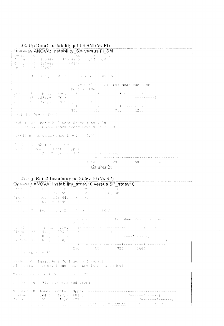#### 28. Uji Rata2 Instability pd LS SM (Vs FI) One-way ANOVA: instability\_SM versus FI\_SM

 $76 - 13254393$  $179344$  $\mathcal{G}(\mathbf{r}) \leftrightarrow \mathcal{G}(\mathbf{r})$ asser of F = F . U = F 8q = 50, 26 = Rene (ad) = 49, 55+ Individual 25: Cls For Mean Based on Tooled Stings , because  $\Omega_{\rm{max}}$  . Mean of<br>they  $\mathcal{A}=\mathcal{A}$  , we have  $\mathcal{A}=\mathcal{A}$  $\mathbf{1}$  and  $\mathbf{1}$  and  $\mathbf{1}$  and  $\mathbf{1}$  $\begin{array}{l} \left( \begin{array}{cc} \text{tr} & \text{tr} \\ \text{tr} & \text{tr} \end{array} \right) & = & \left( \begin{array}{cc} \text{tr} & \text{tr} & \text{tr} \\ \text{tr} & \text{tr} & \text{tr} \end{array} \right) & = & \left( \begin{array}{cc} \text{tr} & \text{tr} & \text{tr} \end{array} \right) & = & \left( \begin{array}{cc} \text{tr} & \text{tr} & \text{tr} \end{array} \right) & = & \left( \begin{array}{cc} \text{tr} & \text{tr} & \text{tr} \end{array} \right) & =$  $56 - 1238, \theta - 576, 6$  $\frac{(-1)^{n+1}-1}{n}$ <br>300 600  $\sim 376.1314.9$  $\bar{T}$ وتقريب والمراوي والمناسب والمستقرئ وستواء والمنافر  $-900 - 1200$ Pobled Strev + 455,1 Fisher 35: Individual Confidence Intervals All Tairvise Compairsons among Gevels of FI SM Nimult angens continuance level ( 95,66 Fig. 2. See A subtracted from:  $\begin{array}{lll} \mathbb{M}_1(33) & \text{lower number} & \mathbb{M}^*\text{ex} \\ \mathbb{R} & \mathbb{M}^*\text{ex} & \mathbb{M}^*\text{ex} & \mathbb{M}^*\text{ex} \\ \mathbb{R} & \mathbb{M}^*\text{ex} & \mathbb{M}^*\text{ex} & \mathbb{M}^*\text{ex} \\ \mathbb{R} & \mathbb{M}^*\text{ex} & \mathbb{M}^*\text{ex} & \mathbb{M}^*\text{ex} \end{array}$ s de la cultura de <del>Paramento</del> de Galeria (Coloradores).  $\label{eq:2} \left\langle \left( f_{\alpha\beta} \right) \right\rangle_{\alpha\beta} = \left\langle \left( f_{\alpha\beta} \right) \right\rangle_{\alpha\beta} = \left\langle \left( g_{\alpha\beta} \right) \right\rangle_{\alpha\beta}$ and the control of the control of the control of  $-1050 - 700$  $-350$ المتواصل والمتواصل

Gambar 28

#### 29. Uji Rata2 tastability pd Stdev 10 (Vs SP) One-way ANOVA: instability stdev10 versus SP stdev10

| i Source        | FREE R 105 SHI2440 POSSES<br>1 Percel 2000 107 107 10 18 998      | $\sim$ 200 may ray over motion in $\gamma$ below to verbed by colored to<br>the property of the state state and state in the property of the property of the property of the property of t<br>$\{1,4\}$ and $\{1,6\}$ and $2,5\}$ and $556$ and $355$ ( $76$ and $1\{1,4\}$ and $6$ , $500$                                                                                                                                                                                                                                                                                                                                                                                                                                                                                         |
|-----------------|-------------------------------------------------------------------|-------------------------------------------------------------------------------------------------------------------------------------------------------------------------------------------------------------------------------------------------------------------------------------------------------------------------------------------------------------------------------------------------------------------------------------------------------------------------------------------------------------------------------------------------------------------------------------------------------------------------------------------------------------------------------------------------------------------------------------------------------------------------------------|
|                 |                                                                   | [12] Article Reng (18, 12) Reng add (16, 56                                                                                                                                                                                                                                                                                                                                                                                                                                                                                                                                                                                                                                                                                                                                         |
|                 |                                                                   | that lauth is the For Mean Based on Fooled<br>diamonia                                                                                                                                                                                                                                                                                                                                                                                                                                                                                                                                                                                                                                                                                                                              |
|                 | - 15.554. 「20」 867, 1 - 011, 7 - 「<br>- 37 team (a. 1058) - 470,2 | " basic limited that Monday all Deville in the companion of a complete the magnetic entrepreneur of the control<br>$\leq 9\pm e^{-\frac{1}{2}}n,\qquad \Rightarrow \tilde{e}=-4.44\pm 9,\qquad 3.0.6\pm 9,\qquad \qquad r\in \{-1,1,\ldots,8\},\qquad \omega=\omega_0.$<br>$\mathcal{L} = \mathcal{L} = \mathcal{L} = \mathcal{L} = \mathcal{L} = \{1, \ldots, \ldots, \ell-1\}$<br>$\label{eq:3} \mathcal{L}(\mathcal{L}) = \left\{ \begin{array}{ll} \mathcal{L}(\mathcal{L}) = \mathcal{L}(\mathcal{L}) \times \mathcal{L}(\mathcal{L}) & \mathcal{L}(\mathcal{L}) = \mathcal{L}(\mathcal{L}) \times \mathcal{L}(\mathcal{L}) \times \mathcal{L} \\ \mathcal{L}(\mathcal{L}) = \mathcal{L}(\mathcal{L}) \times \mathcal{L}(\mathcal{L}) \times \mathcal{L} \end{array} \right\}$ |
| Prodessed Strip |                                                                   | ik is a kara kana pisana sa kumama wa kama wa kama wa kara<br>250 590 750 750 1000                                                                                                                                                                                                                                                                                                                                                                                                                                                                                                                                                                                                                                                                                                  |
|                 | - Simulton ands contatence level = 27,86                          | i Fisher 35 Individual Confidence Intervals<br>! Ali Patrwine Comparinons among hevels ar SP stdev10                                                                                                                                                                                                                                                                                                                                                                                                                                                                                                                                                                                                                                                                                |
|                 | F.P. anderl0 = 9item subtracted from:                             |                                                                                                                                                                                                                                                                                                                                                                                                                                                                                                                                                                                                                                                                                                                                                                                     |
| i Pikit wa      | $-355$ , $-614$ , $0 - 872$ , 5                                   | والمستسلم والمتعاطي والمتحدث المتعاطي والمناد                                                                                                                                                                                                                                                                                                                                                                                                                                                                                                                                                                                                                                                                                                                                       |
|                 |                                                                   | المستوسط والمستقيل المتحامية والمتحدث والمستقطع والمنابين والمنادر                                                                                                                                                                                                                                                                                                                                                                                                                                                                                                                                                                                                                                                                                                                  |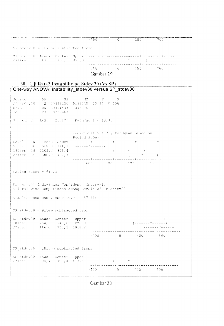|                                          | $-350$  |                                                                         | 350.        | - 700                                                                                                           |  |
|------------------------------------------|---------|-------------------------------------------------------------------------|-------------|-----------------------------------------------------------------------------------------------------------------|--|
| SP stdevl $0 = 18$ irem subtracted from: |         |                                                                         |             |                                                                                                                 |  |
| $27\pm x$ em $-67.0$ $\pm 91.5$ $450.0$  |         | { مَا يَدْ مَا مِنْ يَدْ يَا * مَا سَالِسَالِسَالِسَالِمَ مِنْ يَدْ } . |             |                                                                                                                 |  |
|                                          |         |                                                                         |             | المتارين والمناوية والتنازل والمتموع والمتواطئ والمتوسع والمستسلم وسيتها والمواملين المتمام ومناورها والمتمارية |  |
|                                          | スちん シート |                                                                         | - 0 - 350 - | - 760                                                                                                           |  |

Gambar 29

#### 30. Uji Rata2 Instability pd Stdev 30 (Vs SP) One-way ANOVA: instability\_stdev30 versus SP\_stdev30

Source  $\mathbb{D} \operatorname{F}$  $SS$  $MS$  $\mathbb{R}^n$  .  $\mathbb{P}$ CP stdev30 2 10378230 5189115 13,85 0,000 Error 105 39351433 374776  $Tct-1$  $107 - 19729663$  $S = C17, 2$  R-Sq = 20,87 R-Sq(adj) = 19,36 Individual 95% CIs For Mean Based on Pooled StDev Mean StDev measurement comment concerned to contract Level - $\sim$  N  $_{\odot}$  $568, 9 - 344, 1$   $(----+1---)$ Sitem 36  $($  - - - - - - \* - - - - - - - ) 18item 36 1108,6 695,4  $(- - - - - - - - - -)$ 27item 36 1300,0 722,7 -------<del>------------</del> ------+--------+-600 900 1200 1500 Fooled StDev =  $612, 2$ Fisher 95° Individual Confidence Intervals All Pairwise Comparisons among Levels of SP stdev30 Simultaneous confidence level = 87,85%  $SP$  stdev30 = 9item subtracted from: SP stdev30 Lower Center Upper 18item 254,5 540,6 826,8 (--------\*------)<br>(------\*------)  $446,0$   $732,1$   $1018,2$  $27$ item  $-400$  0  $400$  800  $SP_1stdev30 = 18i$  km subtracted from:  $\begin{tabular}{lllll} \texttt{SP\_stdev30} & Lower & Center & Upper \\ \texttt{27.item} & -94,7 & -191,4 & 477,5 \\ \end{tabular}$  $0 \t 400 \t 800$  $-400 -$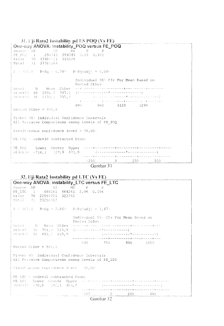| 31. Uji Rata2 Instability pd LS POQ (Vs FE)          |                                                                                                                |
|------------------------------------------------------|----------------------------------------------------------------------------------------------------------------|
| One-way ANOVA: instability_POQ versus FE_POQ         |                                                                                                                |
| Soutch DF 3S $MS = F$ P                              |                                                                                                                |
| FE POQ 1 294343 294343 0,55 0,461                    |                                                                                                                |
| Error 70 37486921 535526                             |                                                                                                                |
| Total 71 37781164                                    |                                                                                                                |
| $\epsilon$ = 731, 8 R-Sq = 0, 783 R-Sq(adj) = 0, 003 |                                                                                                                |
|                                                      | Individual 95% CIs For Mean Based on<br>Pooled StDev                                                           |
|                                                      |                                                                                                                |
|                                                      |                                                                                                                |
| $st4eV30 = 36 - 1134, i = 755, 7$                    | والمتحام والمتمالي والمستمرة والمستشهر والمتمع والمتمام والمتروح والمتمار والمتماري والمتمر                    |
|                                                      | 800 960 1120 1280                                                                                              |
| Pooled StDev = $731,8$                               |                                                                                                                |
|                                                      |                                                                                                                |
| Fisher 95% Individual Confidence Intervals           |                                                                                                                |
| All Pairwise Comparisons among Levels of FE POQ      |                                                                                                                |
|                                                      |                                                                                                                |
| Simultaneous confidence level = $95,00$              |                                                                                                                |
|                                                      |                                                                                                                |
| FE POQ = stdev10 subtracted from:                    |                                                                                                                |
|                                                      |                                                                                                                |
|                                                      |                                                                                                                |
|                                                      | solution de la comme de la comme de la comme de la comme de la comme de la comme de la comme de la comme de la |
|                                                      | $-250$ 0 250<br>500                                                                                            |
|                                                      | Combar 31                                                                                                      |

Gambar 31

### 32. Uji Rata2 Instability pd LTC (Vs FE)

| One-way ANOVA: instability LTC versus FE LTC                                                              |                                                                                                                                                                                   |
|-----------------------------------------------------------------------------------------------------------|-----------------------------------------------------------------------------------------------------------------------------------------------------------------------------------|
| Source DF 5S MS F P<br>FE LTC 1 664261 664261 2,06 0,156<br>Error 70 22594721 322782<br>Total 71 23258982 |                                                                                                                                                                                   |
| $S = 568.1$ R-Sq = 2,86% R-Sq(adj) = 1,47%                                                                |                                                                                                                                                                                   |
|                                                                                                           | Individual 95% CIs For Mean Based on<br>Pooled StDev                                                                                                                              |
| Level N Mean StDev                                                                                        | the main coding to seek the second comment with a special comment of the main<br>$stdevU = 36 - 701, 0 - 515, 9 - (---------------)$                                              |
| stdevi0 36 893,1 615,9                                                                                    |                                                                                                                                                                                   |
|                                                                                                           | 600 750 900 1050                                                                                                                                                                  |
| Pocled StDev = $568.1$                                                                                    |                                                                                                                                                                                   |
| Fisher 95) Individual Confidence Intervals<br>All Parrwise Comparisons among Levels of FE LTC             |                                                                                                                                                                                   |
| Simmlt meaus confidence level = 95,00:                                                                    |                                                                                                                                                                                   |
| FE LTC = stdev10 subtracted from:                                                                         | FE LTC Lower Center Upper - - - + - - - - - + - - - - - - - + - - - - - - + - - - - - - - - - - -<br><u>s contra a conserva que a a a a a a a transceira con a a tra a a a a </u> |
|                                                                                                           | $\frac{200}{2}$ $\frac{0}{20}$ $\frac{200}{20}$<br>-400                                                                                                                           |
|                                                                                                           |                                                                                                                                                                                   |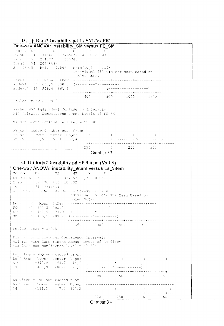### 33. Uji Rata2 Instability pd Ls SM (Vs FE)

| One-way ANOVA: instability_SM versus FE_SM                                                   |                                                      |                   |  |
|----------------------------------------------------------------------------------------------|------------------------------------------------------|-------------------|--|
| Source DP = - SS = - MS = - P = - P                                                          |                                                      |                   |  |
| FE SM 1 1466619 1466619 4,08 0,047                                                           |                                                      |                   |  |
| Error 70 25182213 359746                                                                     |                                                      |                   |  |
| Total 71 26648832                                                                            |                                                      |                   |  |
| $S = 599, 8$ R-Sq = 5,50% R-Sq(adj) = 4,15%                                                  | Individual 95% CIs For Mean Based on<br>Pooled StDev |                   |  |
|                                                                                              |                                                      |                   |  |
| $stdev10 36 663, 9 530, 8$ (---------*-----------)                                           |                                                      |                   |  |
| $stdev30 36 949, 4 661, 6$ (--------*----------)                                             |                                                      |                   |  |
|                                                                                              |                                                      |                   |  |
|                                                                                              |                                                      | 600 800 1000 1200 |  |
| Pooled StDev = $599,8$                                                                       |                                                      |                   |  |
|                                                                                              |                                                      |                   |  |
| Fisher 95% Individual Confidence Intervals<br>All Pairwise Comparisons among Levels of FE SM |                                                      |                   |  |
| Simultaneous confidence level = $95,00^{\circ}$                                              |                                                      |                   |  |
| FE SM = stdev10 subtracted from:                                                             |                                                      |                   |  |
|                                                                                              |                                                      |                   |  |
|                                                                                              |                                                      |                   |  |
|                                                                                              |                                                      |                   |  |
|                                                                                              |                                                      | $-250$ 0 250 500  |  |

Gambar 33

### 34. Uji Rata2 Instability pd SP 9 item (Vs LS) | One-way ANOVA: instability\_9item versus Ls\_9item

|                      | Source DF SS MS F P                                              |              |  |                                                                                                                                                                                                                                                                                                                                                                                                                                                                                                                                                        |  |  |
|----------------------|------------------------------------------------------------------|--------------|--|--------------------------------------------------------------------------------------------------------------------------------------------------------------------------------------------------------------------------------------------------------------------------------------------------------------------------------------------------------------------------------------------------------------------------------------------------------------------------------------------------------------------------------------------------------|--|--|
|                      | 1s 9item 2 654715 327357 3,20 0,047                              |              |  |                                                                                                                                                                                                                                                                                                                                                                                                                                                                                                                                                        |  |  |
|                      | Srro: 69 7058816 102302                                          |              |  |                                                                                                                                                                                                                                                                                                                                                                                                                                                                                                                                                        |  |  |
| Total 71 7713531     |                                                                  |              |  |                                                                                                                                                                                                                                                                                                                                                                                                                                                                                                                                                        |  |  |
|                      | $3 = 31\%$ , 8 $R = Sq \approx 3$ , 49% $R = Sq(Ad^3) = 5$ , 843 |              |  |                                                                                                                                                                                                                                                                                                                                                                                                                                                                                                                                                        |  |  |
|                      |                                                                  |              |  | Individual 95% CIs For Mean Based on                                                                                                                                                                                                                                                                                                                                                                                                                                                                                                                   |  |  |
|                      |                                                                  | Pooled StDev |  |                                                                                                                                                                                                                                                                                                                                                                                                                                                                                                                                                        |  |  |
|                      | Level N Mean StDev                                               |              |  | www.communication.com/www.communication/www.com                                                                                                                                                                                                                                                                                                                                                                                                                                                                                                        |  |  |
|                      | $PO(1 - 24 - 641, 2 - 385, 1$                                    |              |  | $\left\{ \begin{array}{c} \begin{array}{c} \begin{array}{c} \begin{array}{c} \end{array} \\ \end{array} \right. \end{array} \right. \end{array} \begin{array}{c} \begin{array}{c} \begin{array}{c} \end{array} \\ \end{array} \end{array} \begin{array}{c} \begin{array}{c} \end{array} \\ \end{array} \end{array} \end{array} \begin{array}{c} \begin{array}{c} \end{array} \\ \end{array} \end{array} \begin{array}{c} \begin{array}{c} \end{array} \end{array} \end{array} \begin{array}{c} \begin{array}{c} \end{array} \end{array} \end{array} \$ |  |  |
|                      |                                                                  |              |  |                                                                                                                                                                                                                                                                                                                                                                                                                                                                                                                                                        |  |  |
|                      | SM $24 - 435, 5 - 298, 2 - (-11)$                                |              |  |                                                                                                                                                                                                                                                                                                                                                                                                                                                                                                                                                        |  |  |
|                      |                                                                  |              |  |                                                                                                                                                                                                                                                                                                                                                                                                                                                                                                                                                        |  |  |
| Poulad StDev = 319.0 |                                                                  |              |  | 360 480 600 720                                                                                                                                                                                                                                                                                                                                                                                                                                                                                                                                        |  |  |
|                      |                                                                  |              |  |                                                                                                                                                                                                                                                                                                                                                                                                                                                                                                                                                        |  |  |
|                      | Fisher 35% Individual Confidence Intervals                       |              |  |                                                                                                                                                                                                                                                                                                                                                                                                                                                                                                                                                        |  |  |
|                      | All fairwise Compatisons among Levels of Ls 9item                |              |  |                                                                                                                                                                                                                                                                                                                                                                                                                                                                                                                                                        |  |  |
|                      | Simultaneous confidence level = $87,89$                          |              |  |                                                                                                                                                                                                                                                                                                                                                                                                                                                                                                                                                        |  |  |
|                      |                                                                  |              |  |                                                                                                                                                                                                                                                                                                                                                                                                                                                                                                                                                        |  |  |
|                      | Ls $9$ iten = POQ subtracted from:                               |              |  |                                                                                                                                                                                                                                                                                                                                                                                                                                                                                                                                                        |  |  |
|                      |                                                                  |              |  |                                                                                                                                                                                                                                                                                                                                                                                                                                                                                                                                                        |  |  |
|                      | $LTC$ $-382, 9$ $+98, 7$ $14, 5$ (see experimental separation of |              |  |                                                                                                                                                                                                                                                                                                                                                                                                                                                                                                                                                        |  |  |
| SM Service Control   | $-389,9 - 205,7 - 21,5 -$ (exception of example $-$              |              |  |                                                                                                                                                                                                                                                                                                                                                                                                                                                                                                                                                        |  |  |
|                      |                                                                  |              |  |                                                                                                                                                                                                                                                                                                                                                                                                                                                                                                                                                        |  |  |
|                      |                                                                  |              |  | $-300$ $-150$ 0 150                                                                                                                                                                                                                                                                                                                                                                                                                                                                                                                                    |  |  |
|                      | Ls $9$ item = LTC subtracted from:                               |              |  |                                                                                                                                                                                                                                                                                                                                                                                                                                                                                                                                                        |  |  |
|                      | Ls 9item – Lower Center Upper                                    |              |  | ~~~~~~+~-~~~~~~~ <del>+</del> ~~~~~~~~~+~~~~~~~~~+~~                                                                                                                                                                                                                                                                                                                                                                                                                                                                                                   |  |  |
|                      | $SM = -191, 2 = -7, 0 = 177, 2$                                  |              |  |                                                                                                                                                                                                                                                                                                                                                                                                                                                                                                                                                        |  |  |
|                      |                                                                  |              |  |                                                                                                                                                                                                                                                                                                                                                                                                                                                                                                                                                        |  |  |
|                      |                                                                  |              |  | $-300$ $-150$ 0 150                                                                                                                                                                                                                                                                                                                                                                                                                                                                                                                                    |  |  |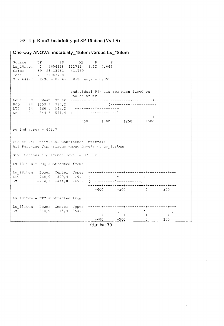#### 35. Uji Rata2 Instability pd SP 18 item (Vs LS)

One-way ANOVA: instability 18item versus Ls 18item  $DF$ Source  $SS$ **MS**  $-$ F – p Ls 18item 2 2654268 1327134 3,22 0,046 Error 69 28413461 411789 Total 71 31067728  $S = 641, 7$  R-Sq = 8,54% R-Sq(adj) = 5,89% Individual 95: CIs For Mean Based on Pooled StDev Level  $\mathbb N$ Mean StDev  $\begin{bmatrix} 24 & 1259 & 4 & 773 & 2 \\ 24 & 860 & 0 & 547 & 2 \end{bmatrix}$  $POQ$ (----------\*-----------)  $_{\rm LTC}$ SM  $-24$ 750 1000 1250 1500 Pooled StDev =  $641,7$ Fisher 95% Individual Confidence Intervals All Pairwise Comparisons among Levels of Ls 18item Simultaneous confidence level = 87,89 $\pm$ Ls 18item = POQ subtracted from: LTC  $-768, 9 -399, 4 -29, 8$   $(-117)$ SM.  $-600$   $-300$  0 300 Ls 18item = LTC subtracted from: Ls\_18item Lower Center Upper SM  $-384.9$   $-15.4$  354.2 =====+=========+=======+=============  $-600$   $-300$  0 300

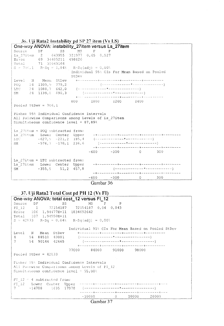



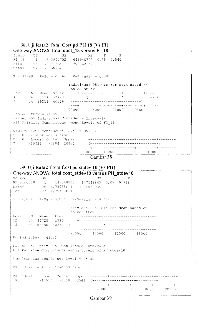#### 38. Uji Rata2 Total Cost pd PH 18 (Vs FI)

|                            |  |                  | One-way ANOVA: total cost_18 versus FI_18      |              |        |                                      |  |  |
|----------------------------|--|------------------|------------------------------------------------|--------------|--------|--------------------------------------|--|--|
| Source DF Press County     |  |                  | $SS$ and $\sim$                                |              | MS F P |                                      |  |  |
|                            |  |                  | FI 18 1 643940752 643940752 0,38 0,540         |              |        |                                      |  |  |
|                            |  |                  | Erioi 106 1,80715E+11 1704862142               |              |        |                                      |  |  |
| Total 107 1,81359E+11      |  |                  |                                                |              |        |                                      |  |  |
|                            |  |                  |                                                |              |        |                                      |  |  |
|                            |  |                  | $S = 41290$ R-Sq = 0,36% R-Sq(adj) = 0,00%     |              |        |                                      |  |  |
|                            |  |                  |                                                |              |        | Individual 95% CIs For Mean Based on |  |  |
|                            |  |                  |                                                | Pooled StDev |        |                                      |  |  |
|                            |  |                  |                                                |              |        |                                      |  |  |
|                            |  | 4 54 91134 42478 |                                                |              |        |                                      |  |  |
|                            |  |                  |                                                |              |        |                                      |  |  |
|                            |  |                  |                                                |              |        |                                      |  |  |
|                            |  |                  |                                                |              |        | 77000 84000 91000 98000              |  |  |
| Pooled StDev = $41290$     |  |                  |                                                |              |        |                                      |  |  |
|                            |  |                  | Fisher 95% Individual Confidence Intervals     |              |        |                                      |  |  |
|                            |  |                  | All Pairwise Comparisons among Levels of FI 18 |              |        |                                      |  |  |
|                            |  |                  |                                                |              |        |                                      |  |  |
|                            |  |                  | Simultaneous confidence level = $95,004$       |              |        |                                      |  |  |
| FI 18 = 4 subtracted from: |  |                  |                                                |              |        |                                      |  |  |
|                            |  |                  |                                                |              |        |                                      |  |  |
|                            |  |                  |                                                |              |        |                                      |  |  |
|                            |  |                  |                                                |              |        |                                      |  |  |
|                            |  |                  |                                                |              |        |                                      |  |  |
|                            |  |                  |                                                |              |        | $-20000 -10000$ 0 10000              |  |  |



#### 39. Uji Rata2 Total Cost pd st.dev 10 (Vs PH) One-way ANOVA: total cost\_stdev10 versus PH\_stdev10 Source  $DF$  $SS$ MS F  $\mathbb P$ 147548845 PH stdev10 147548845 0,09 0,768  $\overline{1}$  $106 - 1,78988E+11$ 1688563935 Error  $107 - 1,79135E+11$ Total  $S = 41092$  R-Sq = 0,08% R-Sq(adj) = 0,00% Individual 95% CIs For Mean Based on Pooled StDev Level  $\sim$  N Mean StDev 54 86728 41930  $12 18$ 77000 84000 91000 98000 Pooled StDev =  $41092$ Fisher 95% Individual Confidence Intervals All Pairwise Comparisons among Levels of PH stdev10 Simultaneous confidence level =  $95,00$  $PH$  stdevi0 = 12 subtracted from: PH stdev10 Lower Center Upper  $18$  $-18016 - 2338 - 13341$  $-10000$  $\overline{0}$ 10000 20000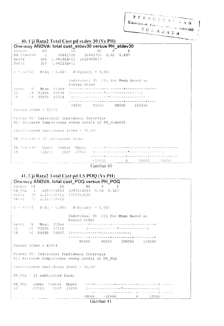$\begin{array}{cccccccccc} \textbf{P} & \textbf{E} & \textbf{R} & \textbf{P} & \textbf{U} & \textbf{S} & \textbf{T} & \textbf{A} & \textbf{I} & \overbrace{\textbf{A} & \textbf{A} & \textbf{A} & \textbf{N}} \end{array}$ 

Universitas realizes have a hingah SURABAYA

į

|                                            | 40. Uji Rata2 Total Cost pd st.dev 30 (Vs PH)                                                                           |
|--------------------------------------------|-------------------------------------------------------------------------------------------------------------------------|
|                                            | One-way ANOVA: total cost_stdev30 versus PH_stdev30                                                                     |
| Source.<br>DE                              | and the SS and the SS and the SS and the SS and the SS and the SS and the SS and the SS and the SS and the SS<br>MS F P |
|                                            | PH_stdev30 1 30841720 30841720 0,02 0,897                                                                               |
| Error 106 1, 94192E+11 1832000837          |                                                                                                                         |
| Total 107 1,94223E+11                      |                                                                                                                         |
| $S = 42802$ R-Sq = 0,02% R-Sq(adj) = 0,00% |                                                                                                                         |
|                                            | Individual 95. Cls For Mean Based on<br>Pooled StDev                                                                    |
|                                            |                                                                                                                         |
|                                            |                                                                                                                         |
|                                            | $18 = 54 - 92995 - 42014 - (-$                                                                                          |
|                                            |                                                                                                                         |
|                                            | 84000 91000 98000 105000                                                                                                |
| Pooled StDev = $42802$                     |                                                                                                                         |
| Fisher 95% Individual Confidence Intervals | All Pairwise Comparisons among Levels of PH stdev30                                                                     |
|                                            |                                                                                                                         |
| Simultaneous confidence level = $95,00\%$  |                                                                                                                         |
| PH stdev30 = 12 subtracted from:           |                                                                                                                         |
|                                            |                                                                                                                         |
| 18                                         |                                                                                                                         |
|                                            |                                                                                                                         |
|                                            | $-10000$ 0 10000 20000                                                                                                  |
|                                            | $\sim$ $\sim$ $\sim$ $\sim$ $\sim$ $\sim$                                                                               |

Gambar 40

### 41. Uji Rata2 Total Cost pd LS POQ (Vs PH)

| One-way ANOVA: total cost_POQ versus PH_POQ                                                                                                         |
|-----------------------------------------------------------------------------------------------------------------------------------------------------|
| Source<br>$SS$ and $S$<br>DF Contractor of the State of the State of the State of the State of the State of the State of the State of the<br>MS F P |
| PH_POQ 1 1097164553 1097164553 0,64 0,427                                                                                                           |
| Error 70 1,20523E+11 1721763536<br>Total 71 1,21621E+11                                                                                             |
|                                                                                                                                                     |
| $S = 41494$ $R-Sq = 0.908$ $R-Sq(ad1) = 0.008$                                                                                                      |
| Individual 95% CIs For Mean Based on<br>Pooled StDev                                                                                                |
|                                                                                                                                                     |
| $12 \t 36 \t 92805 \t 43116 \t (-12.222225)$                                                                                                        |
|                                                                                                                                                     |
| 80000 90000 100000 110000                                                                                                                           |
| Pooled StDev = $41494$                                                                                                                              |
| Fisher 95% Individual Confidence Intervals<br>All Pairwise Comparisons among Levels of PH POQ                                                       |
| Simmiltaneous confidence level = 95,00%                                                                                                             |
| PH POQ $=$ 12 subtracted from:                                                                                                                      |
|                                                                                                                                                     |
|                                                                                                                                                     |
| and the operator is a more considered by the continuum more control. In the construction of the continuum and m                                     |
| $-24000 -12000$ 0<br>12000                                                                                                                          |
| Gambar 41                                                                                                                                           |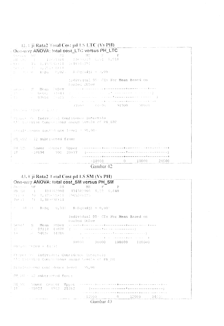|  |  |  | $-42.4$ iji Rata2 Total Cost pd LS LTC (Vs PH) |
|--|--|--|------------------------------------------------|
|  |  |  |                                                |

|                              |  |                                           | One-Way ANOVA: total cost_LTC versus PH_LTC                                                                                                                                                                                                                                                                                                                                                                                                                                                                                 |  |  |
|------------------------------|--|-------------------------------------------|-----------------------------------------------------------------------------------------------------------------------------------------------------------------------------------------------------------------------------------------------------------------------------------------------------------------------------------------------------------------------------------------------------------------------------------------------------------------------------------------------------------------------------|--|--|
| chemic of application        |  | (朝鮮) - 「三字句」 【文集版書版書版本】 - 『44345009』      |                                                                                                                                                                                                                                                                                                                                                                                                                                                                                                                             |  |  |
|                              |  |                                           | $\gamma$ s and $\gamma$ are $\gamma$ $R-Sq$ and $\ell$ , $0.2\,\omega$ and $R-Sq$ ( $\alpha$ d $j$ ) and $\omega$ , $0.0\,\omega$                                                                                                                                                                                                                                                                                                                                                                                           |  |  |
|                              |  | Twoled StDev                              | Individual 95: CIs For Mean Based on                                                                                                                                                                                                                                                                                                                                                                                                                                                                                        |  |  |
|                              |  |                                           | process of Mean Subey conservative contractor of the contract<br>$\left\{ \begin{array}{ll} \mathbb{P}^2 \times \mathbb{P}^2 \times \mathbb{P}^2 \times \mathbb{P}^2 \times \mathbb{P}^2 \times \mathbb{P}^2 \times \mathbb{P}^2 \times \mathbb{P}^2 \times \mathbb{P}^2 \times \mathbb{P}^2 \times \mathbb{P}^2 \times \mathbb{P}^2 \times \mathbb{P}^2 \times \mathbb{P}^2 \times \mathbb{P}^2 \times \mathbb{P}^2 \times \mathbb{P}^2 \times \mathbb{P}^2 \times \mathbb{P}^2 \times \mathbb{P}^2 \times \mathbb{P}^2 \$ |  |  |
|                              |  |                                           | معاويه والمتعادل والمستقطي والمتماسية والمتناسب والمتحدث والمتناقص والمتناسب والمتناقص<br>77669 - 24996 - 91000 - 98999                                                                                                                                                                                                                                                                                                                                                                                                     |  |  |
| (The pair (They end at 1)    |  |                                           |                                                                                                                                                                                                                                                                                                                                                                                                                                                                                                                             |  |  |
|                              |  | Prince 35 Individual Confidence Intervals | . All Estraise Compartsons among Sevels of PH LTC                                                                                                                                                                                                                                                                                                                                                                                                                                                                           |  |  |
|                              |  | Signl'income confidence lavel = 95,00:    |                                                                                                                                                                                                                                                                                                                                                                                                                                                                                                                             |  |  |
| PR GTC - 12 subtracted from: |  |                                           |                                                                                                                                                                                                                                                                                                                                                                                                                                                                                                                             |  |  |
|                              |  |                                           |                                                                                                                                                                                                                                                                                                                                                                                                                                                                                                                             |  |  |
|                              |  |                                           | $-10090$ $0$ $10000$ $20000$                                                                                                                                                                                                                                                                                                                                                                                                                                                                                                |  |  |
|                              |  |                                           | $\mathcal{L}$ and $\mathcal{L}$ and $\mathcal{L}$ and $\mathcal{L}$ and $\mathcal{L}$ and $\mathcal{L}$ and $\mathcal{L}$                                                                                                                                                                                                                                                                                                                                                                                                   |  |  |

Gámbar 42

## 43. Uji Rata2 Total Cost pd LS SM (Vs PH)

| -One-way ANOVA: total cost_SM versus PH_SM<br>SOUTH DE SS SA                                | $MS$ $F$<br>. p                                                                                                                                                                                                                                                                                                                       |
|---------------------------------------------------------------------------------------------|---------------------------------------------------------------------------------------------------------------------------------------------------------------------------------------------------------------------------------------------------------------------------------------------------------------------------------------|
| $\frac{1}{2}$ PH CM $=$ 1 $=$ 43.1382900 $=$ 434382900 0,22 0,640                           |                                                                                                                                                                                                                                                                                                                                       |
| F. Samsher (700) 1, 3757348+14 (1965270125)<br>$[00 + 1] = 71 - 1,380030411.$               |                                                                                                                                                                                                                                                                                                                                       |
| $+2 = 44141$ $R-Sq = 0.317$ $R-Sq(adj) = 0.002$                                             |                                                                                                                                                                                                                                                                                                                                       |
|                                                                                             | Individual 95: CIs For Mean Based on<br>Pooled StDev                                                                                                                                                                                                                                                                                  |
| F Fontes Tibey = 44133                                                                      | الإنسان والمتحدث والمتواوية والمتواطنة والمتحدث والمتحدث والمتحدث والمتحدث والمتحدث<br>30000 90000 100000 110000                                                                                                                                                                                                                      |
| Picher On Individual Contidence intervals<br>- All Patring Compations among Sevels of PH SM |                                                                                                                                                                                                                                                                                                                                       |
| Simultaneous contedence level = 95,00:                                                      |                                                                                                                                                                                                                                                                                                                                       |
| DH SH = 12 subtracted frem:                                                                 |                                                                                                                                                                                                                                                                                                                                       |
|                                                                                             | $\sim \text{FH}_1 \otimes \text{M}_2$ . Nower Conter Upper common that the consequence of the context of the<br>$\frac{1}{18}$ . $\frac{15927}{15927}$ . $\frac{4912}{25752}$ . $\frac{1}{1592}$ . $\frac{1}{1592}$<br>a composito de la construcción de la composición de la composición de la composición de la composición de la c |
|                                                                                             | $12969$ 0 12000 24636                                                                                                                                                                                                                                                                                                                 |

|  | Gambar 43 |  |
|--|-----------|--|
|  |           |  |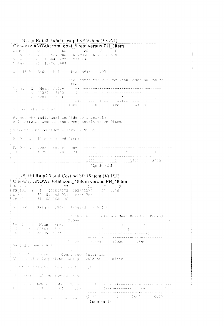|  | 44. Uji Rata2 Total Cost pd SP 9 item (Vs PH) |  |
|--|-----------------------------------------------|--|
|  |                                               |  |

| $SS -$<br>MS F P<br>$+8H$ Oirem $-1$ $-$ 5278380 $-$ 8278380 $-$ 0,43 $-$ 0,515<br>  Error $70 - 1354405222 - 19348046$<br>'Total 71 1362683603<br>$\frac{1}{4}$ 0 = 13.60 = R+Sq = 0,61° = R+Sq(adj) = 0,00 =<br>Individual 95+ CIs For Mean Based on Pooled<br>StDev<br>MOvel N Mean StDev - who concerned the concerned to the theory of the<br>$(12)$ $(6)$ $(41339)$ $2633$ $(-12)$ $(-12)$ $(-12)$ $(-12)$ $(-12)$ $(-12)$ $(-12)$ $(-12)$ $(-12)$ $(-12)$ $(-12)$ $(-12)$ $(-12)$ $(-12)$ $(-12)$ $(-12)$ $(-12)$ $(-12)$ $(-12)$ $(-12)$ $(-12)$ $(-12)$ $(-12)$ $(-12)$ $(-12)$ $(-12)$ $(-12)$ $(-$<br>that a communication product the model women accuracy product and<br>40000 41000 42000 43000<br>Pocled Atbey = 4399<br>  Fishe: 95% Individual Confidence Intervals<br>  All Parrwise Comparisons among Levels of PH 9item<br>  Simultaneous confidence level = 95,00%<br>$(139)$ $(1390)$ $(178)$ $(2746)$ $(2240)$ | $\sim$ 2.4 s is example a way cost pulsar 2 week (y s f Fig.<br><b>One-way ANOVA: total cost_9item versus PH_9item</b> |  |
|---------------------------------------------------------------------------------------------------------------------------------------------------------------------------------------------------------------------------------------------------------------------------------------------------------------------------------------------------------------------------------------------------------------------------------------------------------------------------------------------------------------------------------------------------------------------------------------------------------------------------------------------------------------------------------------------------------------------------------------------------------------------------------------------------------------------------------------------------------------------------------------------------------------------------------------|------------------------------------------------------------------------------------------------------------------------|--|
|                                                                                                                                                                                                                                                                                                                                                                                                                                                                                                                                                                                                                                                                                                                                                                                                                                                                                                                                       | Source DF                                                                                                              |  |
|                                                                                                                                                                                                                                                                                                                                                                                                                                                                                                                                                                                                                                                                                                                                                                                                                                                                                                                                       |                                                                                                                        |  |
|                                                                                                                                                                                                                                                                                                                                                                                                                                                                                                                                                                                                                                                                                                                                                                                                                                                                                                                                       |                                                                                                                        |  |
|                                                                                                                                                                                                                                                                                                                                                                                                                                                                                                                                                                                                                                                                                                                                                                                                                                                                                                                                       |                                                                                                                        |  |
|                                                                                                                                                                                                                                                                                                                                                                                                                                                                                                                                                                                                                                                                                                                                                                                                                                                                                                                                       |                                                                                                                        |  |
|                                                                                                                                                                                                                                                                                                                                                                                                                                                                                                                                                                                                                                                                                                                                                                                                                                                                                                                                       |                                                                                                                        |  |
|                                                                                                                                                                                                                                                                                                                                                                                                                                                                                                                                                                                                                                                                                                                                                                                                                                                                                                                                       |                                                                                                                        |  |
|                                                                                                                                                                                                                                                                                                                                                                                                                                                                                                                                                                                                                                                                                                                                                                                                                                                                                                                                       |                                                                                                                        |  |
|                                                                                                                                                                                                                                                                                                                                                                                                                                                                                                                                                                                                                                                                                                                                                                                                                                                                                                                                       |                                                                                                                        |  |
|                                                                                                                                                                                                                                                                                                                                                                                                                                                                                                                                                                                                                                                                                                                                                                                                                                                                                                                                       |                                                                                                                        |  |
|                                                                                                                                                                                                                                                                                                                                                                                                                                                                                                                                                                                                                                                                                                                                                                                                                                                                                                                                       |                                                                                                                        |  |
|                                                                                                                                                                                                                                                                                                                                                                                                                                                                                                                                                                                                                                                                                                                                                                                                                                                                                                                                       |                                                                                                                        |  |
|                                                                                                                                                                                                                                                                                                                                                                                                                                                                                                                                                                                                                                                                                                                                                                                                                                                                                                                                       |                                                                                                                        |  |
|                                                                                                                                                                                                                                                                                                                                                                                                                                                                                                                                                                                                                                                                                                                                                                                                                                                                                                                                       |                                                                                                                        |  |
|                                                                                                                                                                                                                                                                                                                                                                                                                                                                                                                                                                                                                                                                                                                                                                                                                                                                                                                                       |                                                                                                                        |  |
|                                                                                                                                                                                                                                                                                                                                                                                                                                                                                                                                                                                                                                                                                                                                                                                                                                                                                                                                       |                                                                                                                        |  |
|                                                                                                                                                                                                                                                                                                                                                                                                                                                                                                                                                                                                                                                                                                                                                                                                                                                                                                                                       | ↓PH Ditea - 12 subtracted from:                                                                                        |  |
|                                                                                                                                                                                                                                                                                                                                                                                                                                                                                                                                                                                                                                                                                                                                                                                                                                                                                                                                       |                                                                                                                        |  |
|                                                                                                                                                                                                                                                                                                                                                                                                                                                                                                                                                                                                                                                                                                                                                                                                                                                                                                                                       |                                                                                                                        |  |
|                                                                                                                                                                                                                                                                                                                                                                                                                                                                                                                                                                                                                                                                                                                                                                                                                                                                                                                                       |                                                                                                                        |  |
| $-1506$ 1500 $-1500$ 1500 3000<br>$\sum_{i=1}^n a_i$ and $\sum_{i=1}^n a_i$ and $\sum_{i=1}^n a_i$ and $\sum_{i=1}^n a_i$ and $\sum_{i=1}^n a_i$                                                                                                                                                                                                                                                                                                                                                                                                                                                                                                                                                                                                                                                                                                                                                                                      |                                                                                                                        |  |

| $45.$ Uji Rata2 Total Cost pd SP 18 item (Vs PH)                                                                                                                                                                                                                                                                                                                                                                                       |
|----------------------------------------------------------------------------------------------------------------------------------------------------------------------------------------------------------------------------------------------------------------------------------------------------------------------------------------------------------------------------------------------------------------------------------------|
| One-way ANOVA: total cost_18item versus PH_18item                                                                                                                                                                                                                                                                                                                                                                                      |
| Course<br>-DF.<br>SS.<br>MS Committee Committee<br>PH 1810-m 1 195863375 105863375 1,29 0,261<br>Error 70 5761924931 82311785<br>Tetal 71 5867688306                                                                                                                                                                                                                                                                                   |
| $S = \pm \frac{30}{7}$ , R-Sq $\pm$ 1,80 $\pm$ R-Sq (adj) = 0,40 $\pm$                                                                                                                                                                                                                                                                                                                                                                 |
| Individual 95: CIs For Mean Based on Pooled<br>StDev                                                                                                                                                                                                                                                                                                                                                                                   |
| $\text{[new]} = \mathbb{N}$ . Mean $\text{[St]}\text{[key]}$ and constraint the experimental experimental constraint<br>$(1)$ and $(92660)$ $(98)$ and $(108)$ and $(108)$ and $(108)$ and $(108)$<br>18 18 30 30 350 350 365 361 3730<br>and (and also we had the expectation of<br>in for a communication of such a communication was well as the warm when a                                                                        |
| 10000 82500 85000 87500<br>Posical depay a 9273                                                                                                                                                                                                                                                                                                                                                                                        |
| Fisher WA Individual Confidence Intervals<br>Al: Pairvise Comparisons among Levels of PR 18item                                                                                                                                                                                                                                                                                                                                        |
| time. We are contributed by Al (19), the                                                                                                                                                                                                                                                                                                                                                                                               |
| (PH) shows the 12 successfed crom:                                                                                                                                                                                                                                                                                                                                                                                                     |
| $\mathbb{P}^{\mathrm{H}}$ , $\mathbb{P}^{\mathrm{H}}$ , $\mathbb{P}^{\mathrm{H}}$ . Nower, is that the $\mathbb{P}^{\mathrm{H}}$ of $\mathbb{P}^{\mathrm{H}}$ , the constraint of $\mathbb{P}^{\mathrm{H}}$ , and $\mathbb{P}^{\mathrm{H}}$<br>-12<br>— 1840 — 2425 — бёбаты — солтандар <del>ынын академик</del> териндеги тү<br>والمتاوي للمراوية والمتواطن والموالي والموارق التوافر فواقع فالمستقل فيقتلوا فجعا والمتاوي والمتحادث |
| $-25.29$ (1990) $0$ (2000) $6900$                                                                                                                                                                                                                                                                                                                                                                                                      |
| Gambar <sub>45</sub>                                                                                                                                                                                                                                                                                                                                                                                                                   |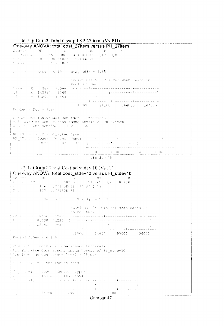## 46. Uji Rata2 Total Cost pd SP 27 item (Vs PH)

|                                        |     | One-way ANOVA: total cost_27item versus PH_27item                                                                                                                                                                                                                                           |
|----------------------------------------|-----|---------------------------------------------------------------------------------------------------------------------------------------------------------------------------------------------------------------------------------------------------------------------------------------------|
| Source<br>DF.                          | SS. | MS.<br>$\mathbf{F}$ and $\mathbf{F}$<br>- P                                                                                                                                                                                                                                                 |
|                                        |     | $\pm$ PH 27item = 1 = 451200800 = 451200800 = 4,62 = 0,035                                                                                                                                                                                                                                  |
| Exter 70 6838584064 97694058           |     |                                                                                                                                                                                                                                                                                             |
| 上POINT 1 - 71 725 9784864              |     |                                                                                                                                                                                                                                                                                             |
|                                        |     | 上さ - 比当っ - R-Sq + +,19ト - R-Sq(adj) = 4,85+                                                                                                                                                                                                                                                 |
|                                        |     | Individual 95 CIs For Mean Based on<br>Pooled StDev                                                                                                                                                                                                                                         |
|                                        |     |                                                                                                                                                                                                                                                                                             |
| $\frac{1}{2}$ 12 = 16 143982 = 6149 =  |     |                                                                                                                                                                                                                                                                                             |
|                                        |     |                                                                                                                                                                                                                                                                                             |
|                                        |     | which is a consideration of the complete of the complete state of the complete of the complete state of the co                                                                                                                                                                              |
|                                        |     | 138000 141000 144000 147000                                                                                                                                                                                                                                                                 |
|                                        |     |                                                                                                                                                                                                                                                                                             |
| Pooled StDev = 9034                    |     |                                                                                                                                                                                                                                                                                             |
|                                        |     |                                                                                                                                                                                                                                                                                             |
|                                        |     | Fisher 95% Individual Confidence Intervals                                                                                                                                                                                                                                                  |
|                                        |     | All Pariwise Comparisons among Levels of PH 27item                                                                                                                                                                                                                                          |
| Dimalt meous confidence level = 95,00- |     |                                                                                                                                                                                                                                                                                             |
|                                        |     |                                                                                                                                                                                                                                                                                             |
| $PE$ 27jtem = 12 subtracted from:      |     |                                                                                                                                                                                                                                                                                             |
|                                        |     |                                                                                                                                                                                                                                                                                             |
|                                        |     |                                                                                                                                                                                                                                                                                             |
|                                        |     | $18 - 9653 - 5007 - 366 -$ (Fig. 2) and the components of<br>which will also a window with the window will also the contract of the secondary of the secondary of the secondary of the secondary of the secondary of the secondary of the secondary of the secondary of the secondary of th |
|                                        |     | $-3900$ $-4000$ $ -$<br>-4006                                                                                                                                                                                                                                                               |



|                                                                                        | 47. Uji Rata2 Total Cost pd st.dev 10 (Vs FI)                                                                                                  |  |
|----------------------------------------------------------------------------------------|------------------------------------------------------------------------------------------------------------------------------------------------|--|
|                                                                                        | One-way ANOVA: total cost_stdev10 versus FI_stdev10                                                                                            |  |
|                                                                                        |                                                                                                                                                |  |
|                                                                                        | $\frac{1}{2}$ Source $\frac{DF}{1}$ SS MS $\frac{F}{100000}$ P                                                                                 |  |
| (Mario) 106 (29135E+11 (489950733                                                      |                                                                                                                                                |  |
| Front (197 197 191358+51)                                                              |                                                                                                                                                |  |
| i C → ii: ウ → R+Sα → J,00) → R+Sattadi) → つ,00)                                        |                                                                                                                                                |  |
|                                                                                        | Individual 95+ CID For Mean Based on<br>Tholed StDev                                                                                           |  |
| $[Low = 0 - Mean - Stepv - c]$                                                         | . De man de de man de la calca de la man de man de la partidad de la calca de la man de la calca de la calca d                                 |  |
|                                                                                        | $\frac{1}{2}$ 4 = 54 85630 41234 (normal companion of the contractor of $54$ 65480 40984 (normal companion complete companion of $\frac{1}{2}$ |  |
|                                                                                        | a community and decompose the component of the community of the community of the community of the community of                                 |  |
| $\frac{1}{2}$ Pooled StDev = 4:109                                                     | 78000 84000 90000 96000                                                                                                                        |  |
| (Fisher 95) Individual Confidence Intervals<br>Plientianeous confidence level = 95,00: | All fattwise Comparisons among Levels of FI stdev10                                                                                            |  |
| $^{\dagger}$ FT atdomaio = 4 subtracted from:                                          |                                                                                                                                                |  |
| $\begin{bmatrix} 11 & 34 & 64 & 10 \\ 7 & -158 & 6 & -143 & 15543 \end{bmatrix}$       |                                                                                                                                                |  |
|                                                                                        |                                                                                                                                                |  |
|                                                                                        | y Michidovio – Los Los Antonio Research non la permenente e                                                                                    |  |
|                                                                                        | and produced and consideration of the construction of the construction of the construction of the construction of                              |  |
|                                                                                        |                                                                                                                                                |  |
|                                                                                        | $-16000 - 8000$ 0 8000                                                                                                                         |  |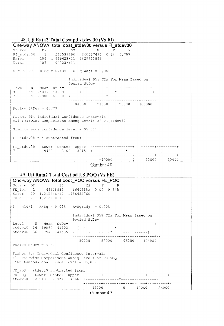|                        | 48. Uji Rata2 Total Cost pd st.dev 30 (Vs FI)       |              |                                      |                        |  |
|------------------------|-----------------------------------------------------|--------------|--------------------------------------|------------------------|--|
|                        | One-way ANOVA: total cost_stdev30 versus FI_stdev30 |              |                                      |                        |  |
|                        | Source DF SS MS F P                                 |              |                                      |                        |  |
|                        | FI_stdev30 1 260537496 260537496 0,14 0,707         |              |                                      |                        |  |
|                        | Error 106 1,93962E+11 1829833896                    |              |                                      |                        |  |
|                        | Total 107 1,94223E+11                               |              |                                      |                        |  |
|                        | $S = 42777$ R-Sq = 0,13% R-Sq(adj) = 0,00%          |              |                                      |                        |  |
|                        |                                                     | Pooled StDev | Individual 95% CIs For Mean Based on |                        |  |
|                        |                                                     |              |                                      |                        |  |
|                        |                                                     |              |                                      |                        |  |
|                        |                                                     |              |                                      |                        |  |
|                        |                                                     |              | 84000 91000 98000 105000             |                        |  |
| Pooled StDev = $42777$ |                                                     |              |                                      |                        |  |
|                        |                                                     |              |                                      |                        |  |
|                        | Fisher 95% Individual Confidence Intervals          |              |                                      |                        |  |
|                        | All Pairwise Comparisons among Levels of FI stdev30 |              |                                      |                        |  |
|                        |                                                     |              |                                      |                        |  |
|                        | Simultaneous confidence level = $95,00$ %           |              |                                      |                        |  |
|                        | FI stdev30 = $4$ subtracted from:                   |              |                                      |                        |  |
|                        |                                                     |              |                                      |                        |  |
|                        |                                                     |              |                                      |                        |  |
|                        |                                                     |              |                                      |                        |  |
|                        |                                                     |              |                                      | $-10000$ 0 10000 20000 |  |
|                        |                                                     |              |                                      |                        |  |

Gambar 48

## 49. Uji Rata2 Total Cost pd LS POQ (Vs FE)

| One-way ANOVA: total cost POQ versus FE POQ                                                                                               |                                                                                                                                                                                                                                                        |
|-------------------------------------------------------------------------------------------------------------------------------------------|--------------------------------------------------------------------------------------------------------------------------------------------------------------------------------------------------------------------------------------------------------|
| Source DF<br>SS.                                                                                                                          | MS F P                                                                                                                                                                                                                                                 |
| FE_POQ  1  66608882  66608882  0,04  0,845                                                                                                |                                                                                                                                                                                                                                                        |
| Error 70 1, 21554E+11 1736485760                                                                                                          |                                                                                                                                                                                                                                                        |
| $Total \t 71 \t 1, 21621E+11$                                                                                                             |                                                                                                                                                                                                                                                        |
| $S = 41671$ R-Sq = 0,05% R-Sq(adj) = 0,00%                                                                                                |                                                                                                                                                                                                                                                        |
|                                                                                                                                           | Individual 95% CIs For Mean Based on<br>Pooled StDev                                                                                                                                                                                                   |
| Level N Mean StDev                                                                                                                        |                                                                                                                                                                                                                                                        |
|                                                                                                                                           |                                                                                                                                                                                                                                                        |
|                                                                                                                                           |                                                                                                                                                                                                                                                        |
| Pooled StDev = $41671$                                                                                                                    | 80000 88000 96000 104000                                                                                                                                                                                                                               |
| Fisher 95% Individual Confidence Intervals<br>All Pairwise Comparisons among Levels of FE POQ<br>Simultaneous confidence level = $95,008$ |                                                                                                                                                                                                                                                        |
| FE POQ $\equiv$ stdev10 subtracted from:                                                                                                  |                                                                                                                                                                                                                                                        |
|                                                                                                                                           | FE POQ Lower Center Upper --------+---------+---------+--------+-                                                                                                                                                                                      |
|                                                                                                                                           |                                                                                                                                                                                                                                                        |
|                                                                                                                                           | $-12000$ 0<br>12000 - 12000 - 1300 - 1300 - 1300 - 1300 - 1300 - 1310 - 1310 - 1310 - 1310 - 1310 - 1310 - 1310 - 1310 - 1310 - 1310 - 1310 - 1310 - 1310 - 1310 - 1310 - 1310 - 1310 - 1310 - 1310 - 1310 - 1310 - 1310 - 1310 - 1310 - 1310<br>24000 |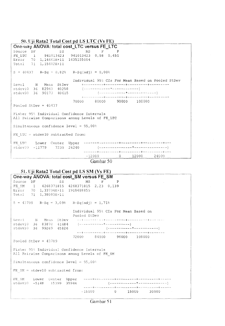50. Uji Rata2 Total Cost pd LS LTC (Vs FE)

One-way ANOVA: total cost\_LTC versus FE\_LTC Source DF  $SS$ MS  $-$  F  $\mathsf{P}$ FE\_LTC 1 941013423 941013423 0,58 0,451<br>Error 70 1,14461E+11 1635155004 71 1, 15402E+11 Total  $S = 40437$   $R-Sq = 0,828$   $R-Sq(adj) = 0,008$ Individual 95% CIs For Mean Based on Pooled StDev N Mean StDev Level stdev10 36 82943 40258 stdev30 36 90173 40615 70000 80000 90000 100000 Pooled StDev =  $40437$ Fisher 95% Individual Confidence Intervals All Pairwise Comparisons among Levels of FE LTC Simultaneous confidence level = 95,00% FE LTC = stdev10 subtracted from: Lower Center Upper ------+---------+----------+---------+---FE LTC stdev30 -11779 7230 26240 ------+---------+---------+---------+--- $-12000$  $0 12000$ 24000

Gambar 50

#### 51. Uji Rata2 Total Cost pd LS SM (Vs FE)

|        |     | One-way ANOVA: total cost_SM versus FE_SM                                                    |              |        |   |                                                                                                                                                                                                                                |                          |  |
|--------|-----|----------------------------------------------------------------------------------------------|--------------|--------|---|--------------------------------------------------------------------------------------------------------------------------------------------------------------------------------------------------------------------------------|--------------------------|--|
| Source | DF. |                                                                                              | $SS$ and $S$ | $MS$ F | P |                                                                                                                                                                                                                                |                          |  |
|        |     | FE SM 1 4268371815 4268371815 2,23 0,139                                                     |              |        |   |                                                                                                                                                                                                                                |                          |  |
|        |     | Error 70 1,33734E+11 1910488855                                                              |              |        |   |                                                                                                                                                                                                                                |                          |  |
|        |     | Total 71 1,38003E+11                                                                         |              |        |   |                                                                                                                                                                                                                                |                          |  |
|        |     | $S = 43709$ R-Sq = 3,09% R-Sq(adj) = 1,71%                                                   |              |        |   |                                                                                                                                                                                                                                |                          |  |
|        |     |                                                                                              | Pooled StDev |        |   | Individual 95% CIs For Mean Based on                                                                                                                                                                                           |                          |  |
|        |     | Level N Mean StDev                                                                           |              |        |   | work of the second start when the second development of the second start of the second start of the second start of the second start of the second start of the second start of the second start of the second start of the se |                          |  |
|        |     |                                                                                              |              |        |   |                                                                                                                                                                                                                                |                          |  |
|        |     |                                                                                              |              |        |   |                                                                                                                                                                                                                                |                          |  |
|        |     |                                                                                              |              |        |   | --+----------+--------+----------+-----                                                                                                                                                                                        |                          |  |
|        |     | Pooled StDev = $43709$                                                                       |              |        |   | 72000 84000 96000 108000                                                                                                                                                                                                       |                          |  |
|        |     | Fisher 95% Individual Confidence Intervals<br>All Pairwise Comparisons among Levels of FE SM |              |        |   |                                                                                                                                                                                                                                |                          |  |
|        |     | $Simultaneous confidence level = 95,00%$                                                     |              |        |   |                                                                                                                                                                                                                                |                          |  |
|        |     | FE SM = stdev10 subtracted from:                                                             |              |        |   |                                                                                                                                                                                                                                |                          |  |
|        |     |                                                                                              |              |        |   |                                                                                                                                                                                                                                |                          |  |
|        |     |                                                                                              |              |        |   |                                                                                                                                                                                                                                |                          |  |
|        |     |                                                                                              |              |        |   |                                                                                                                                                                                                                                |                          |  |
|        |     |                                                                                              |              |        |   |                                                                                                                                                                                                                                | $-15000$ 0 15000 30000 0 |  |
|        |     |                                                                                              |              |        |   |                                                                                                                                                                                                                                |                          |  |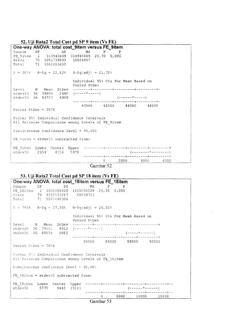#### \_\_\_\_ **52. Uji Rata2 Total Cost pd SP 9 item (Vs FE)**

**One-way ANOVA: total cost\_9item versus FE\_9item**  Source DF SS MS F P FE\_9item 1 310943609 310943609 20,70 0,000 Error 70 1051739993 15024857 Total 71 1362683603  $R-Sq = 22,82%$   $R-Sq(adj) = 21,72%$ Individual 95% CIs For Mean Based on Pooled StDev Level stdevlO stdev30 N Mean 36 39600 36 43757 StDev --------+---------+---------+---------+-  $2440$  (-----\*-----) 4909 (------\*-----) --------+---------+---------+---------~- 40000 42000 44000 46000 Pooled StDev = 3876 Fisher 95% Individual Confidence Intervals All Pairwise Comparisons among Levels of FE 9item Simultaneous confidence level =  $95,00%$ FE: 9item = stdev10 subtracted from: I FE\_9item  $stdev30$ Lower 2334 Center 4156 Upper 5978 ---------+---------+---------+---------+ (--------\*--------) ---------+---------+---------+---------+  $\begin{array}{cccccccc}\n 0 & & 2000 & & 4000 & & 6000\n \end{array}$ 

**Gambar 52** 

#### **53. Uji Rata2 Total Cost pd SP 18 item (Vs FE)**

| One-way ANOVA: total cost_18item versus FE_18item  |                                                                      |
|----------------------------------------------------|----------------------------------------------------------------------|
| Source<br>DF                                       | $SS$ and $S$<br>MS.<br>$\mathbf{F}$ $\mathbf{P}$                     |
| FE 18item 1 1605055039 1605055039 26,36 0,000      |                                                                      |
| Error 70 4262633267 60894761                       |                                                                      |
| Total 71 5867688306                                |                                                                      |
|                                                    |                                                                      |
| $S = 7804$ R-Sq = 27,35% R-Sq(adj) = 26,32%        |                                                                      |
|                                                    |                                                                      |
|                                                    | Individual 95% CIs For Mean Based on                                 |
|                                                    | Pooled StDev                                                         |
|                                                    |                                                                      |
| stdev10 36 79151 4912 $(----+---)$                 |                                                                      |
| stdev30 36 88594 9882                              | (-----*-------)                                                      |
|                                                    |                                                                      |
|                                                    | 80000 84000 88000 92000                                              |
| Pooled StDev = $7804$                              |                                                                      |
|                                                    |                                                                      |
| Fisher 95% Individual Confidence Intervals         |                                                                      |
| All Pairwise Comparisons among Levels of FE 18item |                                                                      |
|                                                    |                                                                      |
| Simultaneous confidence level = $95,00%$           |                                                                      |
|                                                    |                                                                      |
| FE 18item = $stdev10$ subtracted from:             |                                                                      |
|                                                    |                                                                      |
|                                                    |                                                                      |
| stdev30 5775 9443 13111                            | $(-$ - - - - - - * - - - - - - - )                                   |
|                                                    |                                                                      |
|                                                    | 5000 10000 15000<br>$0 \qquad \qquad$<br>$\sim$ $\sim$ $\sim$ $\sim$ |